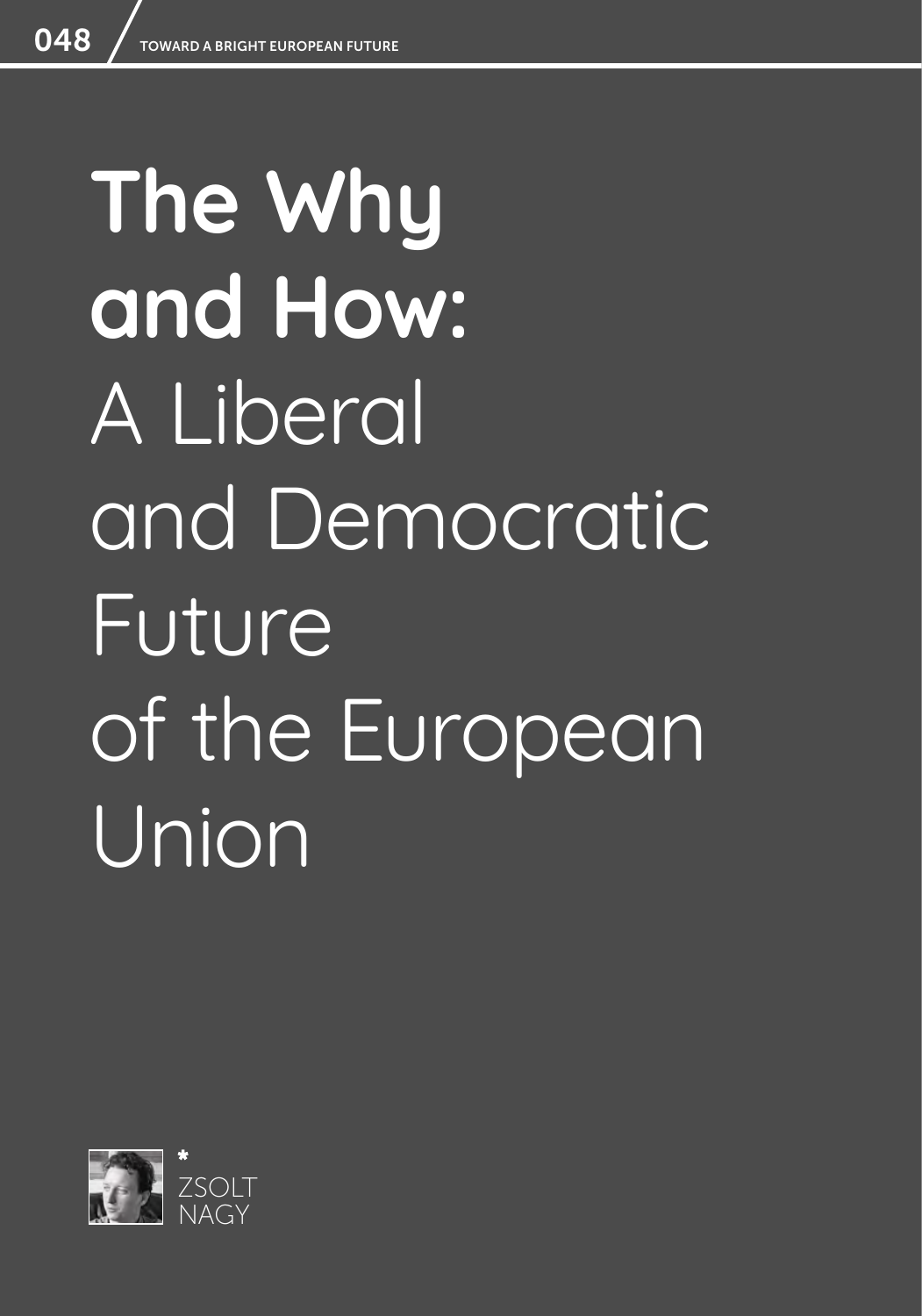# **The Why and How:**  A Liberal and Democratic Future of the European Union

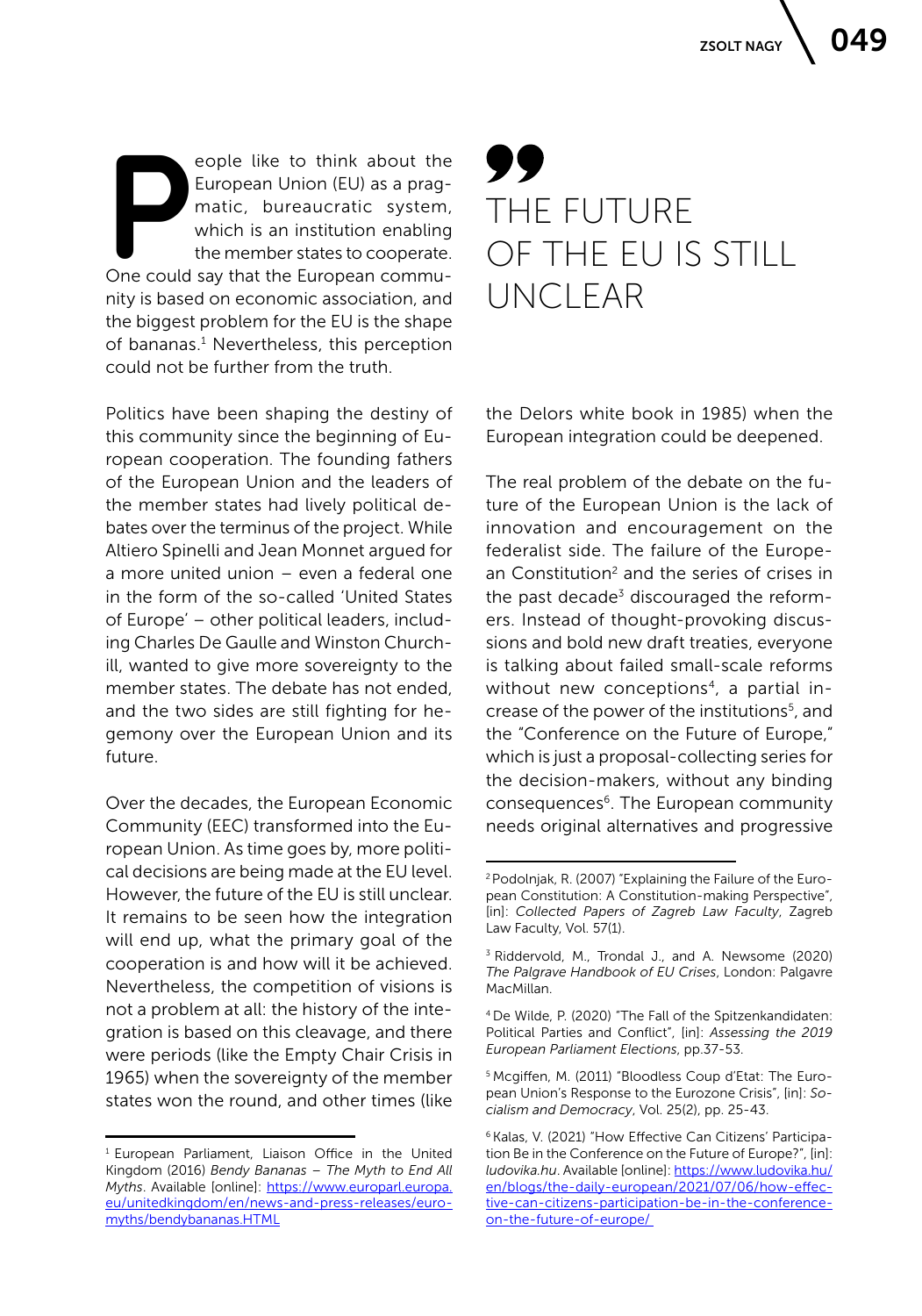eople like to think about the<br>
European Union (EU) as a prag-<br>
matic, bureaucratic system,<br>
which is an institution enabling<br>
the member states to cooperate.<br>
One could say that the European commueople like to think about the European Union (EU) as a pragmatic, bureaucratic system, which is an institution enabling the member states to cooperate. nity is based on economic association, and the biggest problem for the EU is the shape of bananas.<sup>1</sup> Nevertheless, this perception could not be further from the truth.

Politics have been shaping the destiny of this community since the beginning of European cooperation. The founding fathers of the European Union and the leaders of the member states had lively political debates over the terminus of the project. While Altiero Spinelli and Jean Monnet argued for a more united union – even a federal one in the form of the so-called 'United States of Europe' – other political leaders, including Charles De Gaulle and Winston Churchill, wanted to give more sovereignty to the member states. The debate has not ended, and the two sides are still fighting for hegemony over the European Union and its future.

Over the decades, the European Economic Community (EEC) transformed into the European Union. As time goes by, more political decisions are being made at the EU level. However, the future of the EU is still unclear. It remains to be seen how the integration will end up, what the primary goal of the cooperation is and how will it be achieved. Nevertheless, the competition of visions is not a problem at all: the history of the integration is based on this cleavage, and there were periods (like the Empty Chair Crisis in 1965) when the sovereignty of the member states won the round, and other times (like

## THE FUTURE OF THE EU IS STILL UNCLEAR

the Delors white book in 1985) when the European integration could be deepened.

The real problem of the debate on the future of the European Union is the lack of innovation and encouragement on the federalist side. The failure of the European Constitution<sup>2</sup> and the series of crises in the past decade<sup>3</sup> discouraged the reformers. Instead of thought-provoking discussions and bold new draft treaties, everyone is talking about failed small-scale reforms without new conceptions<sup>4</sup>, a partial increase of the power of the institutions<sup>5</sup>, and the "Conference on the Future of Europe," which is just a proposal-collecting series for the decision-makers, without any binding consequences<sup>6</sup>. The European community needs original alternatives and progressive

5 Mcgiffen, M. (2011) "Bloodless Coup d'Etat: The European Union's Response to the Eurozone Crisis", [in]: *Socialism and Democracy*, Vol. 25(2), pp. 25-43.

<sup>1</sup> European Parliament, Liaison Office in the United Kingdom (2016) *Bendy Bananas – The Myth to End All Myths*. Available [online]: [https://www.europarl.europa.](https://www.europarl.europa.eu/unitedkingdom/en/news-and-press-releases/euromyths/bendybananas.HTML) [eu/unitedkingdom/en/news-and-press-releases/euro](https://www.europarl.europa.eu/unitedkingdom/en/news-and-press-releases/euromyths/bendybananas.HTML)[myths/bendybananas.HTML](https://www.europarl.europa.eu/unitedkingdom/en/news-and-press-releases/euromyths/bendybananas.HTML)

<sup>2</sup> Podolnjak, R. (2007) "Explaining the Failure of the European Constitution: A Constitution-making Perspective", [in]: *Collected Papers of Zagreb Law Faculty*, Zagreb Law Faculty, Vol. 57(1).

<sup>3</sup> Riddervold, M., Trondal J., and A. Newsome (2020) *The Palgrave Handbook of EU Crises*, London: Palgavre MacMillan.

<sup>4</sup> De Wilde, P. (2020) "The Fall of the Spitzenkandidaten: Political Parties and Conflict", [in]: *Assessing the 2019 European Parliament Elections*, pp.37-53.

<sup>6</sup> Kalas, V. (2021) "How Effective Can Citizens' Participation Be in the Conference on the Future of Europe?", [in]: *ludovika.hu*. Available [online]: [https://www.ludovika.hu/](https://www.ludovika.hu/en/blogs/the-daily-european/2021/07/06/how-effective-can-citizens-participation-be-in-the-conference-on-the-future-of-europe/ ) [en/blogs/the-daily-european/2021/07/06/how-effec](https://www.ludovika.hu/en/blogs/the-daily-european/2021/07/06/how-effective-can-citizens-participation-be-in-the-conference-on-the-future-of-europe/ )[tive-can-citizens-participation-be-in-the-conference](https://www.ludovika.hu/en/blogs/the-daily-european/2021/07/06/how-effective-can-citizens-participation-be-in-the-conference-on-the-future-of-europe/ )[on-the-future-of-europe/](https://www.ludovika.hu/en/blogs/the-daily-european/2021/07/06/how-effective-can-citizens-participation-be-in-the-conference-on-the-future-of-europe/ )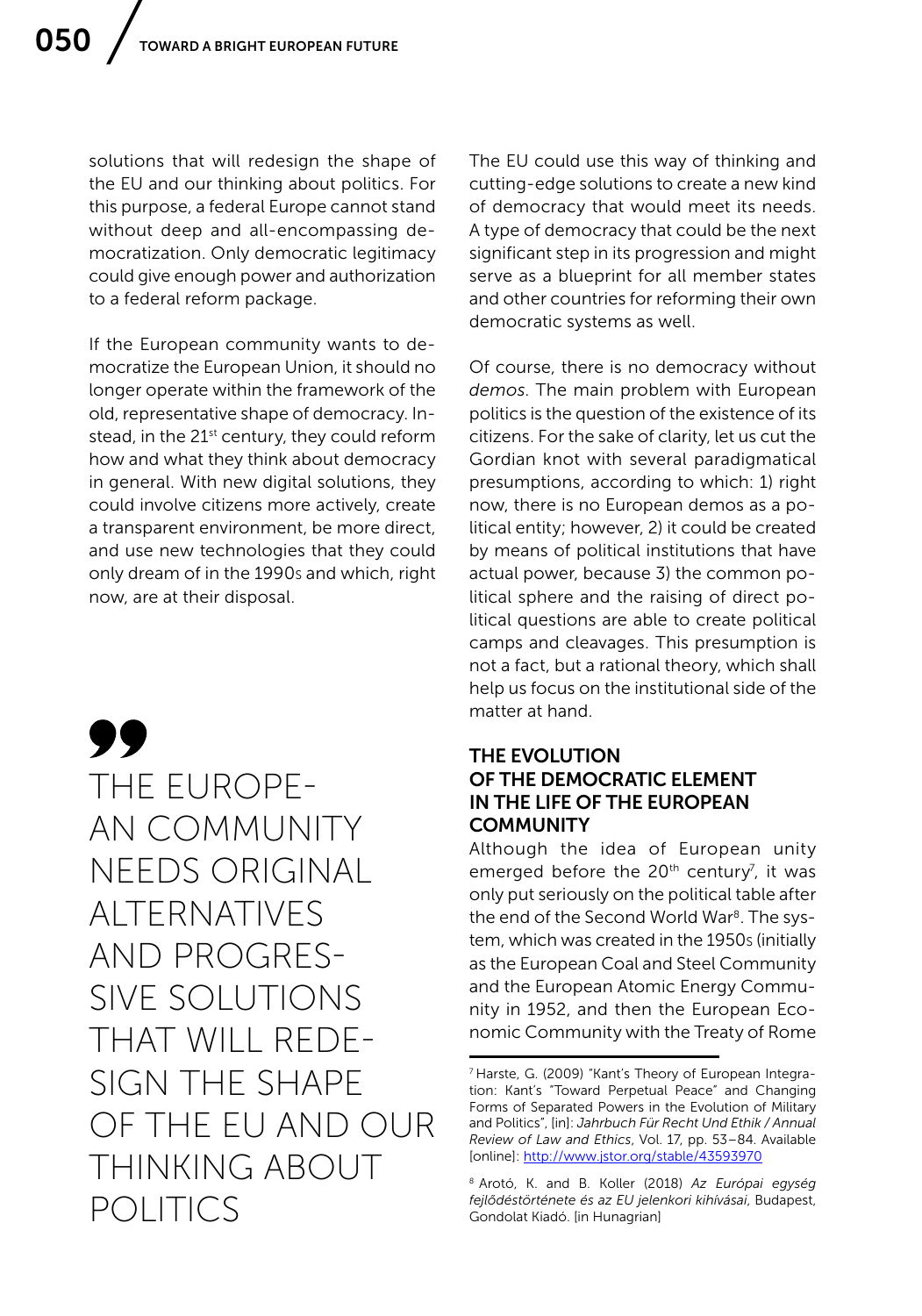solutions that will redesign the shape of the EU and our thinking about politics. For this purpose, a federal Europe cannot stand without deep and all-encompassing democratization. Only democratic legitimacy could give enough power and authorization to a federal reform package.

If the European community wants to democratize the European Union, it should no longer operate within the framework of the old, representative shape of democracy. Instead, in the 21<sup>st</sup> century, they could reform how and what they think about democracy in general. With new digital solutions, they could involve citizens more actively, create a transparent environment, be more direct, and use new technologies that they could only dream of in the 1990s and which, right now, are at their disposal.

99 THE EUROPE-AN COMMUNITY NEEDS ORIGINAL ALTERNATIVES AND PROGRES-SIVE SOLUTIONS THAT WILL REDE-SIGN THE SHAPE OF THE EU AND OUR THINKING ABOUT POLITICS

The EU could use this way of thinking and cutting-edge solutions to create a new kind of democracy that would meet its needs. A type of democracy that could be the next significant step in its progression and might serve as a blueprint for all member states and other countries for reforming their own democratic systems as well.

Of course, there is no democracy without *demos*. The main problem with European politics is the question of the existence of its citizens. For the sake of clarity, let us cut the Gordian knot with several paradigmatical presumptions, according to which: 1) right now, there is no European demos as a political entity; however, 2) it could be created by means of political institutions that have actual power, because 3) the common political sphere and the raising of direct political questions are able to create political camps and cleavages. This presumption is not a fact, but a rational theory, which shall help us focus on the institutional side of the matter at hand.

#### THE EVOLUTION OF THE DEMOCRATIC ELEMENT IN THE LIFE OF THE EUROPEAN **COMMUNITY**

Although the idea of European unity emerged before the 20<sup>th</sup> century<sup>7</sup>, it was only put seriously on the political table after the end of the Second World War<sup>8</sup>. The system, which was created in the 1950s (initially as the European Coal and Steel Community and the European Atomic Energy Community in 1952, and then the European Economic Community with the Treaty of Rome

<sup>7</sup> Harste, G. (2009) "Kant's Theory of European Integration: Kant's "Toward Perpetual Peace" and Changing Forms of Separated Powers in the Evolution of Military and Politics", [in]: *Jahrbuch Für Recht Und Ethik / Annual Review of Law and Ethics*, Vol. 17, pp. 53–84. Available [online]:<http://www.jstor.org/stable/43593970>

<sup>8</sup> Arotó, K. and B. Koller (2018) *Az Európai egység fejlődéstörténete és az EU jelenkori kihívásai*, Budapest, Gondolat Kiadó. [in Hunagrian]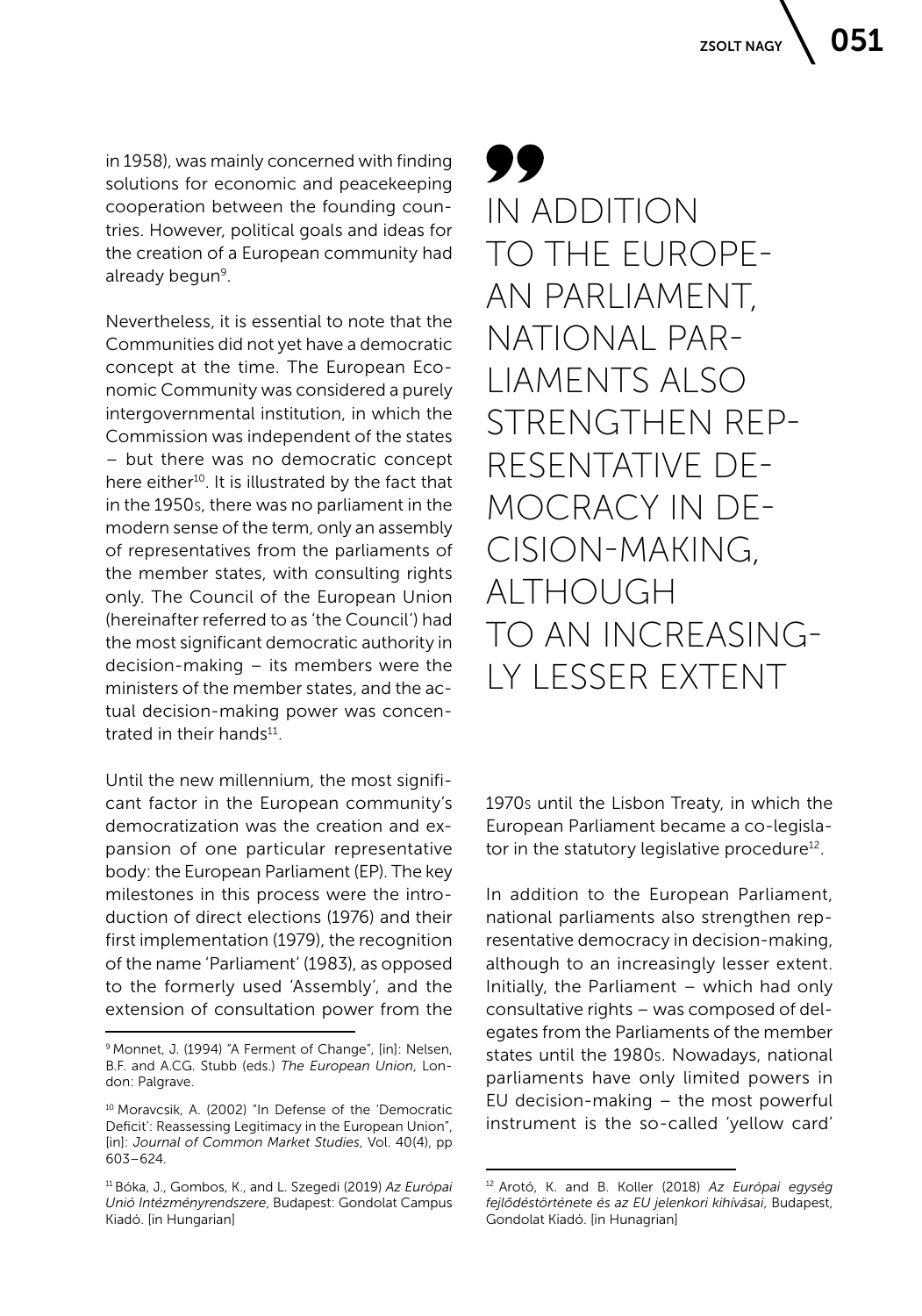in 1958), was mainly concerned with finding solutions for economic and peacekeeping cooperation between the founding countries. However, political goals and ideas for the creation of a European community had already begun<sup>9</sup>.

Nevertheless, it is essential to note that the Communities did not yet have a democratic concept at the time. The European Economic Community was considered a purely intergovernmental institution, in which the Commission was independent of the states – but there was no democratic concept here either<sup>10</sup>. It is illustrated by the fact that in the 1950s, there was no parliament in the modern sense of the term, only an assembly of representatives from the parliaments of the member states, with consulting rights only. The Council of the European Union (hereinafter referred to as 'the Council') had the most significant democratic authority in decision-making – its members were the ministers of the member states, and the actual decision-making power was concentrated in their hands $11$ .

Until the new millennium, the most significant factor in the European community's democratization was the creation and expansion of one particular representative body: the European Parliament (EP). The key milestones in this process were the introduction of direct elections (1976) and their first implementation (1979), the recognition of the name 'Parliament' (1983), as opposed to the formerly used 'Assembly', and the extension of consultation power from the

### 99 IN ADDITION TO THE EUROPE-AN PARLIAMENT, NATIONAL PAR-LIAMENTS ALSO STRENGTHEN REP-RESENTATIVE DE-MOCRACY IN DE-CISION-MAKING, ALTHOUGH TO AN INCREASING-LY LESSER EXTENT

1970s until the Lisbon Treaty, in which the European Parliament became a co-legislator in the statutory legislative procedure<sup>12</sup>.

In addition to the European Parliament, national parliaments also strengthen representative democracy in decision-making, although to an increasingly lesser extent. Initially, the Parliament – which had only consultative rights – was composed of delegates from the Parliaments of the member states until the 1980s. Nowadays, national parliaments have only limited powers in EU decision-making – the most powerful instrument is the so-called 'yellow card'

<sup>&</sup>lt;sup>9</sup> Monnet, J. (1994) "A Ferment of Change", [in]: Nelsen, B.F. and A.CG. Stubb (eds.) *The European Union*, London: Palgrave.

<sup>10</sup> Moravcsik, A. (2002) "In Defense of the 'Democratic Deficit': Reassessing Legitimacy in the European Union", [in]: *Journal of Common Market Studies*, Vol. 40(4), pp 603–624.

<sup>11</sup> Bóka, J., Gombos, K., and L. Szegedi (2019) *Az Európai Unió Intézményrendszere*, Budapest: Gondolat Campus Kiadó. [in Hungarian]

<sup>12</sup> Arotó, K. and B. Koller (2018) *Az Európai egység fejlődéstörténete és az EU jelenkori kihívásai*, Budapest, Gondolat Kiadó. [in Hunagrian]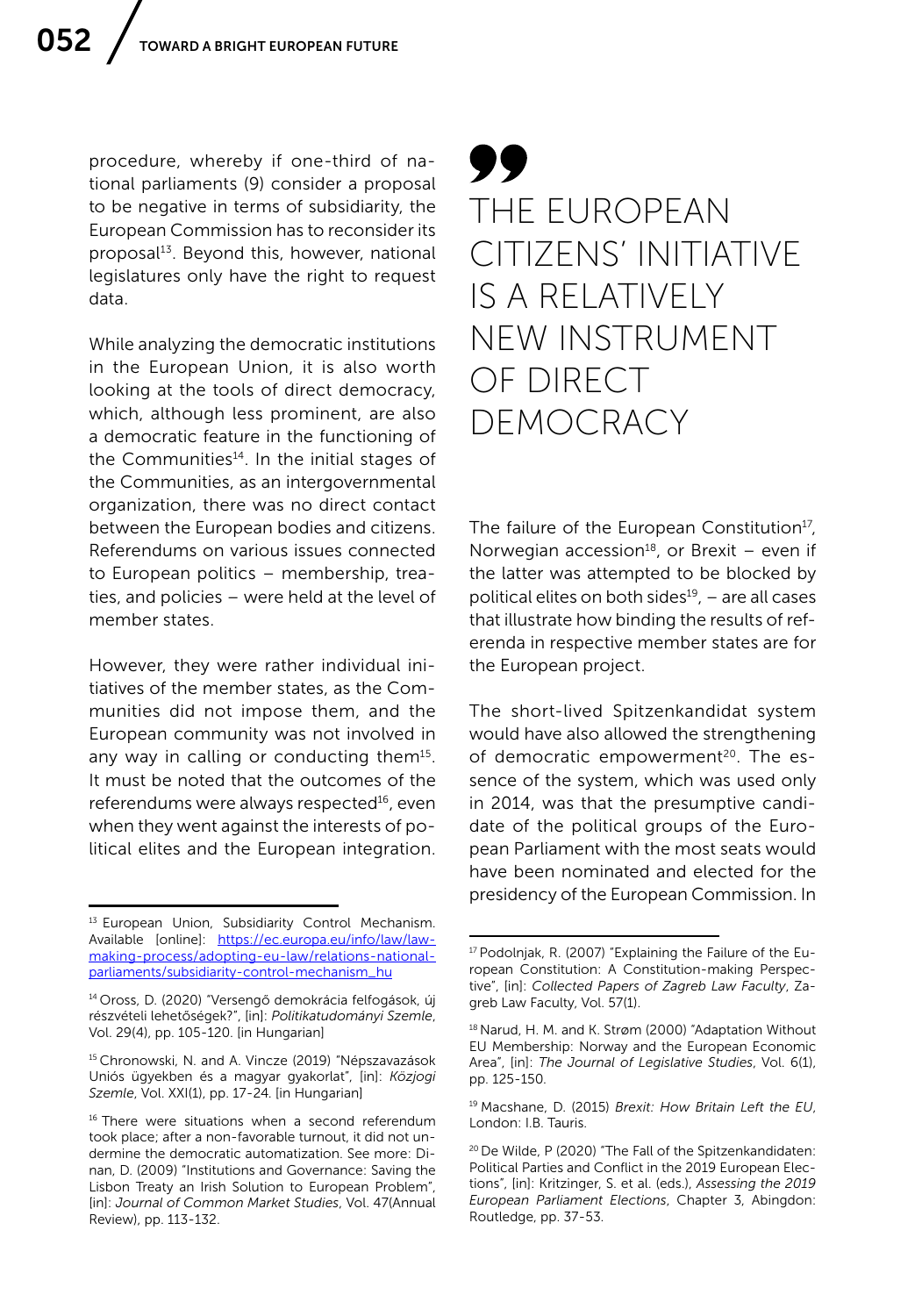procedure, whereby if one-third of national parliaments (9) consider a proposal to be negative in terms of subsidiarity, the European Commission has to reconsider its proposal<sup>13</sup>. Beyond this, however, national legislatures only have the right to request data.

While analyzing the democratic institutions in the European Union, it is also worth looking at the tools of direct democracy, which, although less prominent, are also a democratic feature in the functioning of the Communities<sup>14</sup>. In the initial stages of the Communities, as an intergovernmental organization, there was no direct contact between the European bodies and citizens. Referendums on various issues connected to European politics – membership, treaties, and policies – were held at the level of member states.

However, they were rather individual initiatives of the member states, as the Communities did not impose them, and the European community was not involved in any way in calling or conducting them<sup>15</sup>. It must be noted that the outcomes of the referendums were always respected<sup>16</sup>, even when they went against the interests of political elites and the European integration.

### 99 THE EUROPEAN CITIZENS' INITIATIVE IS A RELATIVELY NEW INSTRUMENT OF DIRECT DEMOCRACY

The failure of the European Constitution<sup>17</sup>, Norwegian accession $18$ , or Brexit – even if the latter was attempted to be blocked by political elites on both sides $19$ , – are all cases that illustrate how binding the results of referenda in respective member states are for the European project.

The short-lived Spitzenkandidat system would have also allowed the strengthening of democratic empowerment<sup>20</sup>. The essence of the system, which was used only in 2014, was that the presumptive candidate of the political groups of the European Parliament with the most seats would have been nominated and elected for the presidency of the European Commission. In

<sup>&</sup>lt;sup>13</sup> European Union, Subsidiarity Control Mechanism. Available [online]: [https://ec.europa.eu/info/law/law](https://ec.europa.eu/info/law/law-making-process/adopting-eu-law/relations-national-parliaments/subsidiarity-control-mechanism_hu)[making-process/adopting-eu-law/relations-national](https://ec.europa.eu/info/law/law-making-process/adopting-eu-law/relations-national-parliaments/subsidiarity-control-mechanism_hu)[parliaments/subsidiarity-control-mechanism\\_hu](https://ec.europa.eu/info/law/law-making-process/adopting-eu-law/relations-national-parliaments/subsidiarity-control-mechanism_hu)

<sup>14</sup> Oross, D. (2020) "Versengő demokrácia felfogások, új részvételi lehetőségek?", [in]: *Politikatudományi Szemle*, Vol. 29(4), pp. 105-120. [in Hungarian]

<sup>&</sup>lt;sup>15</sup> Chronowski, N. and A. Vincze (2019) "Népszavazások Uniós ügyekben és a magyar gyakorlat", [in]: *Közjogi Szemle*, Vol. XXI(1), pp. 17-24. [in Hungarian]

<sup>&</sup>lt;sup>16</sup> There were situations when a second referendum took place; after a non-favorable turnout, it did not undermine the democratic automatization. See more: Dinan, D. (2009) "Institutions and Governance: Saving the Lisbon Treaty an Irish Solution to European Problem", [in]: *Journal of Common Market Studies*, Vol. 47(Annual Review), pp. 113-132.

<sup>17</sup> Podolnjak, R. (2007) "Explaining the Failure of the European Constitution: A Constitution-making Perspective", [in]: *Collected Papers of Zagreb Law Faculty*, Zagreb Law Faculty, Vol. 57(1).

<sup>18</sup> Narud, H. M. and K. Strøm (2000) "Adaptation Without EU Membership: Norway and the European Economic Area", [in]: *The Journal of Legislative Studies*, Vol. 6(1), pp. 125-150.

<sup>19</sup> Macshane, D. (2015) *Brexit: How Britain Left the EU*, London: I.B. Tauris.

<sup>20</sup> De Wilde, P (2020) "The Fall of the Spitzenkandidaten: Political Parties and Conflict in the 2019 European Elections", [in]: Kritzinger, S. et al. (eds.), *Assessing the 2019 European Parliament Elections*, Chapter 3, Abingdon: Routledge, pp. 37-53.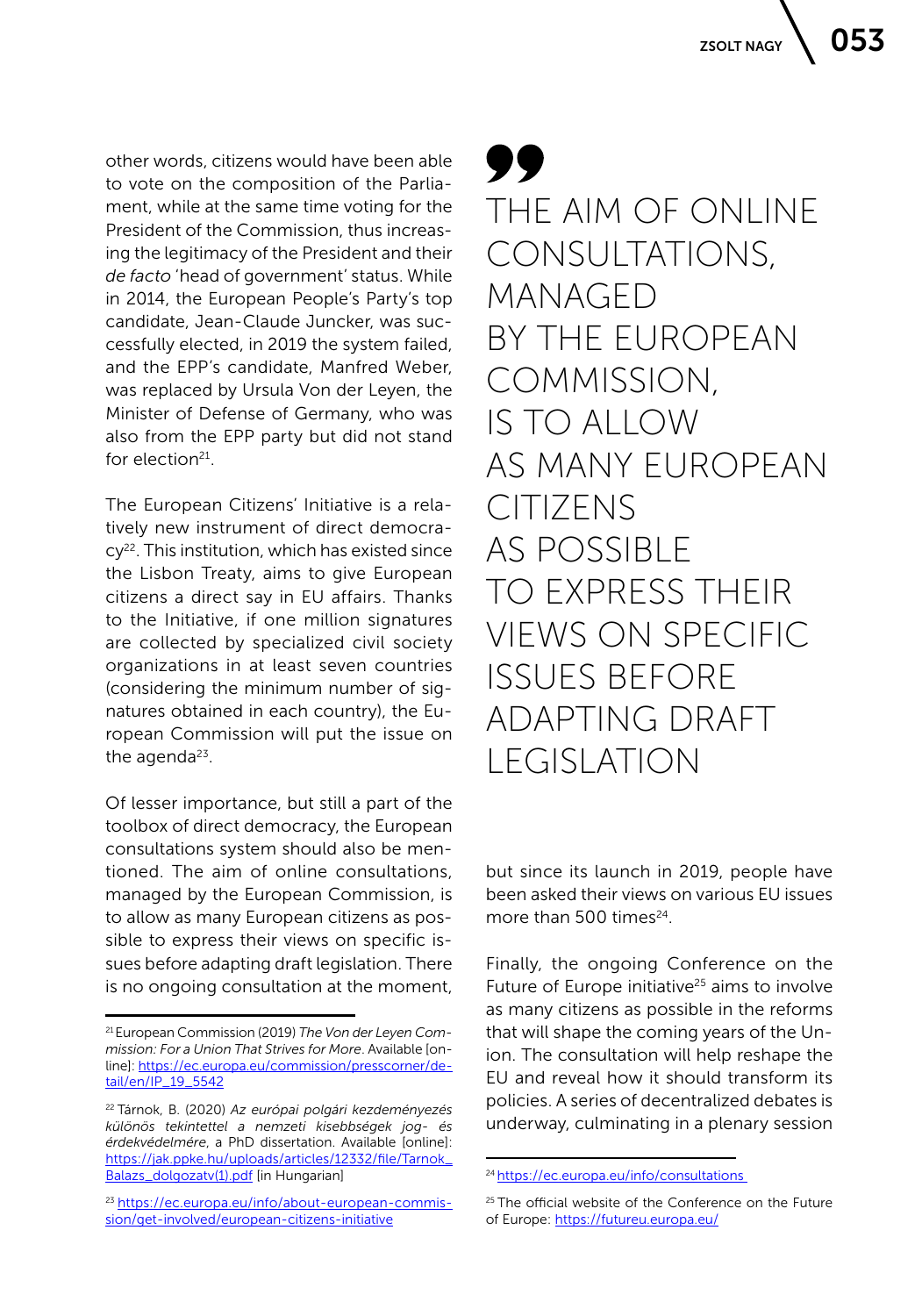other words, citizens would have been able to vote on the composition of the Parliament, while at the same time voting for the President of the Commission, thus increasing the legitimacy of the President and their *de facto* 'head of government' status. While in 2014, the European People's Party's top candidate, Jean-Claude Juncker, was successfully elected, in 2019 the system failed, and the EPP's candidate, Manfred Weber, was replaced by Ursula Von der Leyen, the Minister of Defense of Germany, who was also from the EPP party but did not stand for election $21$ .

The European Citizens' Initiative is a relatively new instrument of direct democra $cy<sup>22</sup>$ . This institution, which has existed since the Lisbon Treaty, aims to give European citizens a direct say in EU affairs. Thanks to the Initiative, if one million signatures are collected by specialized civil society organizations in at least seven countries (considering the minimum number of signatures obtained in each country), the European Commission will put the issue on the agenda $23$ .

Of lesser importance, but still a part of the toolbox of direct democracy, the European consultations system should also be mentioned. The aim of online consultations, managed by the European Commission, is to allow as many European citizens as possible to express their views on specific issues before adapting draft legislation. There is no ongoing consultation at the moment,

99 THE AIM OF ONLINE CONSULTATIONS, MANAGED BY THE EUROPEAN COMMISSION, IS TO ALLOW AS MANY EUROPEAN CITIZENS AS POSSIBLE TO EXPRESS THEIR VIEWS ON SPECIFIC ISSUES BEFORE ADAPTING DRAFT LEGISLATION

but since its launch in 2019, people have been asked their views on various EU issues more than  $500$  times<sup>24</sup>

Finally, the ongoing Conference on the Future of Europe initiative<sup>25</sup> aims to involve as many citizens as possible in the reforms that will shape the coming years of the Union. The consultation will help reshape the EU and reveal how it should transform its policies. A series of decentralized debates is underway, culminating in a plenary session

<sup>21</sup> European Commission (2019) *The Von der Leyen Commission: For a Union That Strives for More*. Available [online]: [https://ec.europa.eu/commission/presscorner/de](https://ec.europa.eu/commission/presscorner/detail/en/IP_19_5542)[tail/en/IP\\_19\\_5542](https://ec.europa.eu/commission/presscorner/detail/en/IP_19_5542)

<sup>22</sup> Tárnok, B. (2020) *Az európai polgári kezdeményezés különös tekintettel a nemzeti kisebbségek jog- és érdekvédelmére*, a PhD dissertation. Available [online]: [https://jak.ppke.hu/uploads/articles/12332/file/Tarnok\\_](https://jak.ppke.hu/uploads/articles/12332/file/Tarnok_Balazs_dolgozatv(1).pdf) [Balazs\\_dolgozatv\(1\).pdf](https://jak.ppke.hu/uploads/articles/12332/file/Tarnok_Balazs_dolgozatv(1).pdf) [in Hungarian]

<sup>23</sup> [https://ec.europa.eu/info/about-european-commis](https://ec.europa.eu/info/about-european-commission/get-involved/european-citizens-initiative)[sion/get-involved/european-citizens-initiative](https://ec.europa.eu/info/about-european-commission/get-involved/european-citizens-initiative)

<sup>24</sup> [https://ec.europa.eu/info/consultations](https://ec.europa.eu/info/consultations ) 

<sup>&</sup>lt;sup>25</sup> The official website of the Conference on the Future of Europe:<https://futureu.europa.eu/>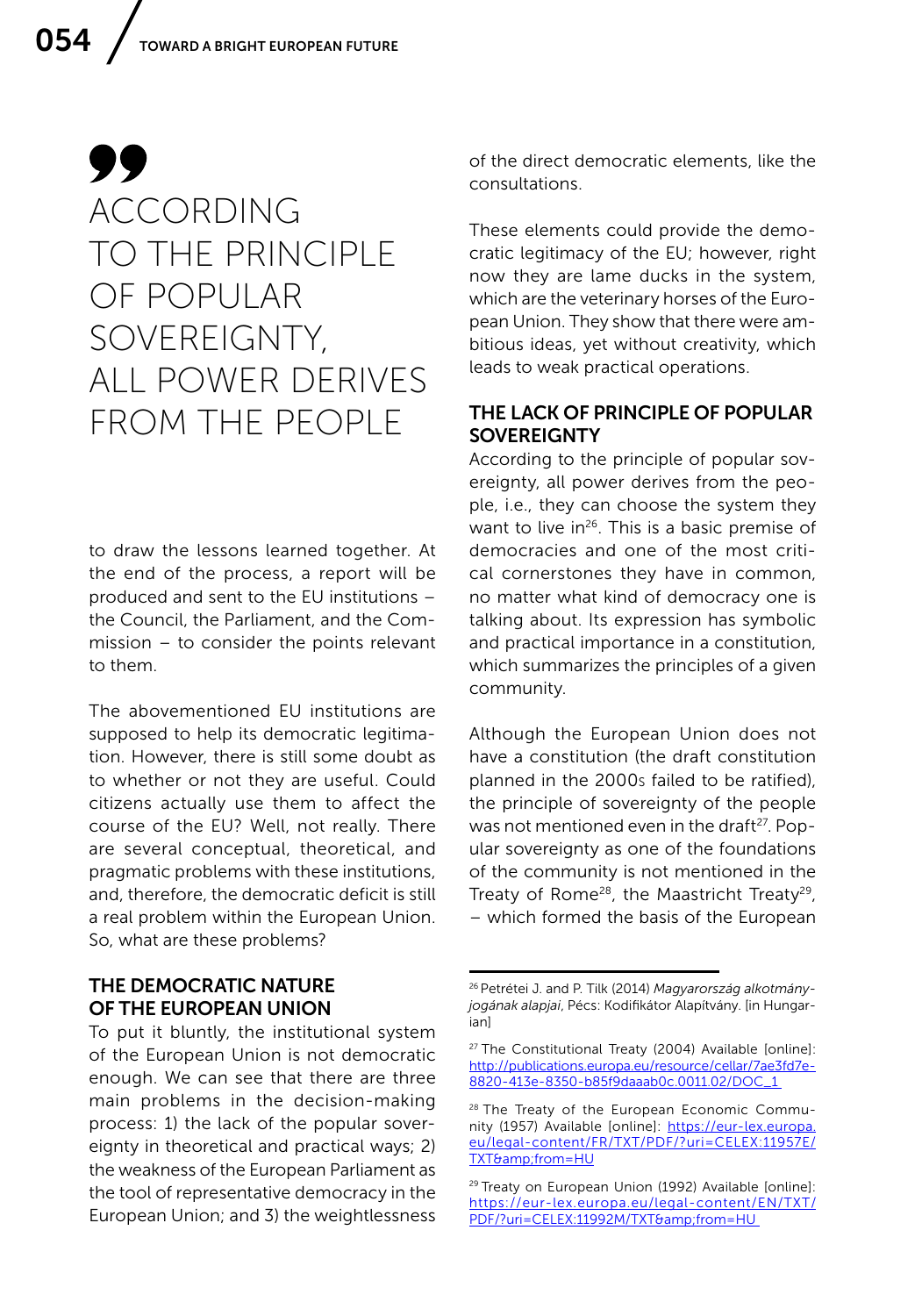### 99 ACCORDING TO THE PRINCIPLE OF POPULAR SOVEREIGNTY, ALL POWER DERIVES FROM THE PEOPLE

to draw the lessons learned together. At the end of the process, a report will be produced and sent to the EU institutions – the Council, the Parliament, and the Commission – to consider the points relevant to them.

The abovementioned EU institutions are supposed to help its democratic legitimation. However, there is still some doubt as to whether or not they are useful. Could citizens actually use them to affect the course of the EU? Well, not really. There are several conceptual, theoretical, and pragmatic problems with these institutions, and, therefore, the democratic deficit is still a real problem within the European Union. So, what are these problems?

### THE DEMOCRATIC NATURE OF THE EUROPEAN UNION

To put it bluntly, the institutional system of the European Union is not democratic enough. We can see that there are three main problems in the decision-making process: 1) the lack of the popular sovereignty in theoretical and practical ways; 2) the weakness of the European Parliament as the tool of representative democracy in the European Union; and 3) the weightlessness

of the direct democratic elements, like the consultations.

These elements could provide the democratic legitimacy of the EU; however, right now they are lame ducks in the system, which are the veterinary horses of the European Union. They show that there were ambitious ideas, yet without creativity, which leads to weak practical operations.

### THE LACK OF PRINCIPLE OF POPULAR **SOVEREIGNTY**

According to the principle of popular sovereignty, all power derives from the people, i.e., they can choose the system they want to live in<sup>26</sup>. This is a basic premise of democracies and one of the most critical cornerstones they have in common, no matter what kind of democracy one is talking about. Its expression has symbolic and practical importance in a constitution, which summarizes the principles of a given community.

Although the European Union does not have a constitution (the draft constitution planned in the 2000s failed to be ratified), the principle of sovereignty of the people was not mentioned even in the draft<sup>27</sup>. Popular sovereignty as one of the foundations of the community is not mentioned in the Treaty of Rome<sup>28</sup>, the Maastricht Treaty<sup>29</sup>, – which formed the basis of the European

<sup>26</sup> Petrétei J. and P. Tilk (2014) *Magyarország alkotmányjogának alapjai*, Pécs: Kodifikátor Alapítvány. [in Hungarian]

<sup>27</sup> The Constitutional Treaty (2004) Available [online]: [http://publications.europa.eu/resource/cellar/7ae3fd7e-](http://publications.europa.eu/resource/cellar/7ae3fd7e-8820-413e-8350-b85f9daaab0c.0011.02/DOC_1 )[8820-413e-8350-b85f9daaab0c.0011.02/DOC\\_1](http://publications.europa.eu/resource/cellar/7ae3fd7e-8820-413e-8350-b85f9daaab0c.0011.02/DOC_1 ) 

<sup>&</sup>lt;sup>28</sup> The Treaty of the European Economic Community (1957) Available [online]: [https://eur-lex.europa.](https://eur-lex.europa.eu/legal-content/FR/TXT/PDF/?uri=CELEX:11957E/TXT&from=HU) [eu/legal-content/FR/TXT/PDF/?uri=CELEX:11957E/](https://eur-lex.europa.eu/legal-content/FR/TXT/PDF/?uri=CELEX:11957E/TXT&from=HU) [TXT&from=HU](https://eur-lex.europa.eu/legal-content/FR/TXT/PDF/?uri=CELEX:11957E/TXT&from=HU)

<sup>&</sup>lt;sup>29</sup> Treaty on European Union (1992) Available [online]: [https://eur-lex.europa.eu/legal-content/EN/TXT/](https://eur-lex.europa.eu/legal-content/EN/TXT/PDF/?uri=CELEX:11992M/TXT&from=HU ) PDF/?uri=CELEX:11992M/TXT&from=HU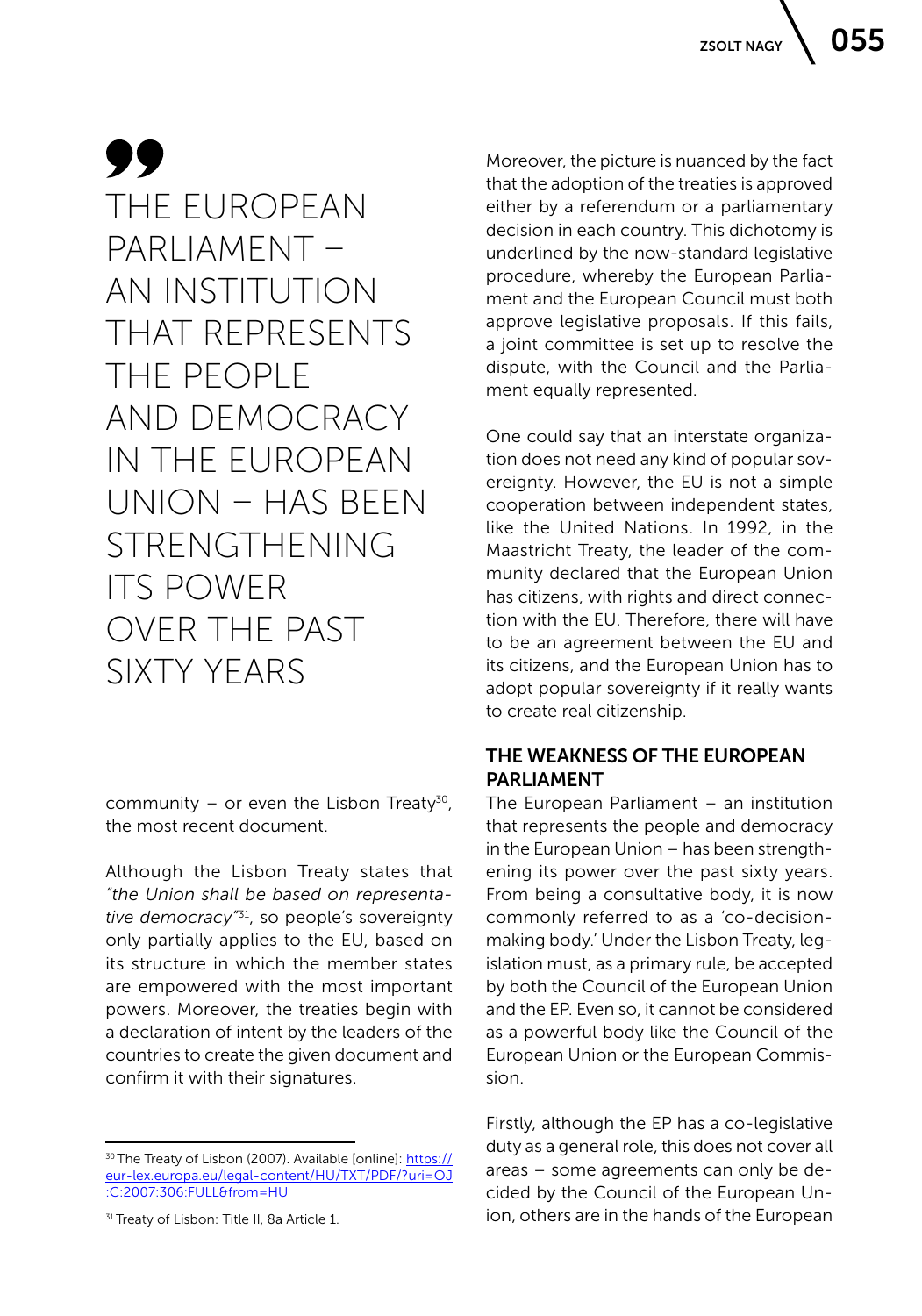### 99 THE EUROPEAN PARLIAMENT – AN INSTITUTION THAT REPRESENTS THE PEOPLE AND DEMOCRACY IN THE EUROPEAN UNION – HAS BEEN STRENGTHENING ITS POWER OVER THE PAST SIXTY YEARS

community – or even the Lisbon Treaty<sup>30</sup>, the most recent document.

Although the Lisbon Treaty states that *"the Union shall be based on representative democracy"*31, so people's sovereignty only partially applies to the EU, based on its structure in which the member states are empowered with the most important powers. Moreover, the treaties begin with a declaration of intent by the leaders of the countries to create the given document and confirm it with their signatures.

Moreover, the picture is nuanced by the fact that the adoption of the treaties is approved either by a referendum or a parliamentary decision in each country. This dichotomy is underlined by the now-standard legislative procedure, whereby the European Parliament and the European Council must both approve legislative proposals. If this fails, a joint committee is set up to resolve the dispute, with the Council and the Parliament equally represented.

One could say that an interstate organization does not need any kind of popular sovereignty. However, the EU is not a simple cooperation between independent states, like the United Nations. In 1992, in the Maastricht Treaty, the leader of the community declared that the European Union has citizens, with rights and direct connection with the EU. Therefore, there will have to be an agreement between the EU and its citizens, and the European Union has to adopt popular sovereignty if it really wants to create real citizenship.

### THE WEAKNESS OF THE EUROPEAN PARLIAMENT

The European Parliament – an institution that represents the people and democracy in the European Union – has been strengthening its power over the past sixty years. From being a consultative body, it is now commonly referred to as a 'co-decisionmaking body.' Under the Lisbon Treaty, legislation must, as a primary rule, be accepted by both the Council of the European Union and the EP. Even so, it cannot be considered as a powerful body like the Council of the European Union or the European Commission.

Firstly, although the EP has a co-legislative duty as a general role, this does not cover all areas – some agreements can only be decided by the Council of the European Union, others are in the hands of the European

<sup>30</sup> The Treaty of Lisbon (2007). Available [online]: [https://](https://eur-lex.europa.eu/legal-content/HU/TXT/PDF/?uri=OJ:C:2007:306:FULL&from=HU) [eur-lex.europa.eu/legal-content/HU/TXT/PDF/?uri=OJ](https://eur-lex.europa.eu/legal-content/HU/TXT/PDF/?uri=OJ:C:2007:306:FULL&from=HU) [:C:2007:306:FULL&from=HU](https://eur-lex.europa.eu/legal-content/HU/TXT/PDF/?uri=OJ:C:2007:306:FULL&from=HU)

<sup>&</sup>lt;sup>31</sup> Treaty of Lisbon: Title II, 8a Article 1.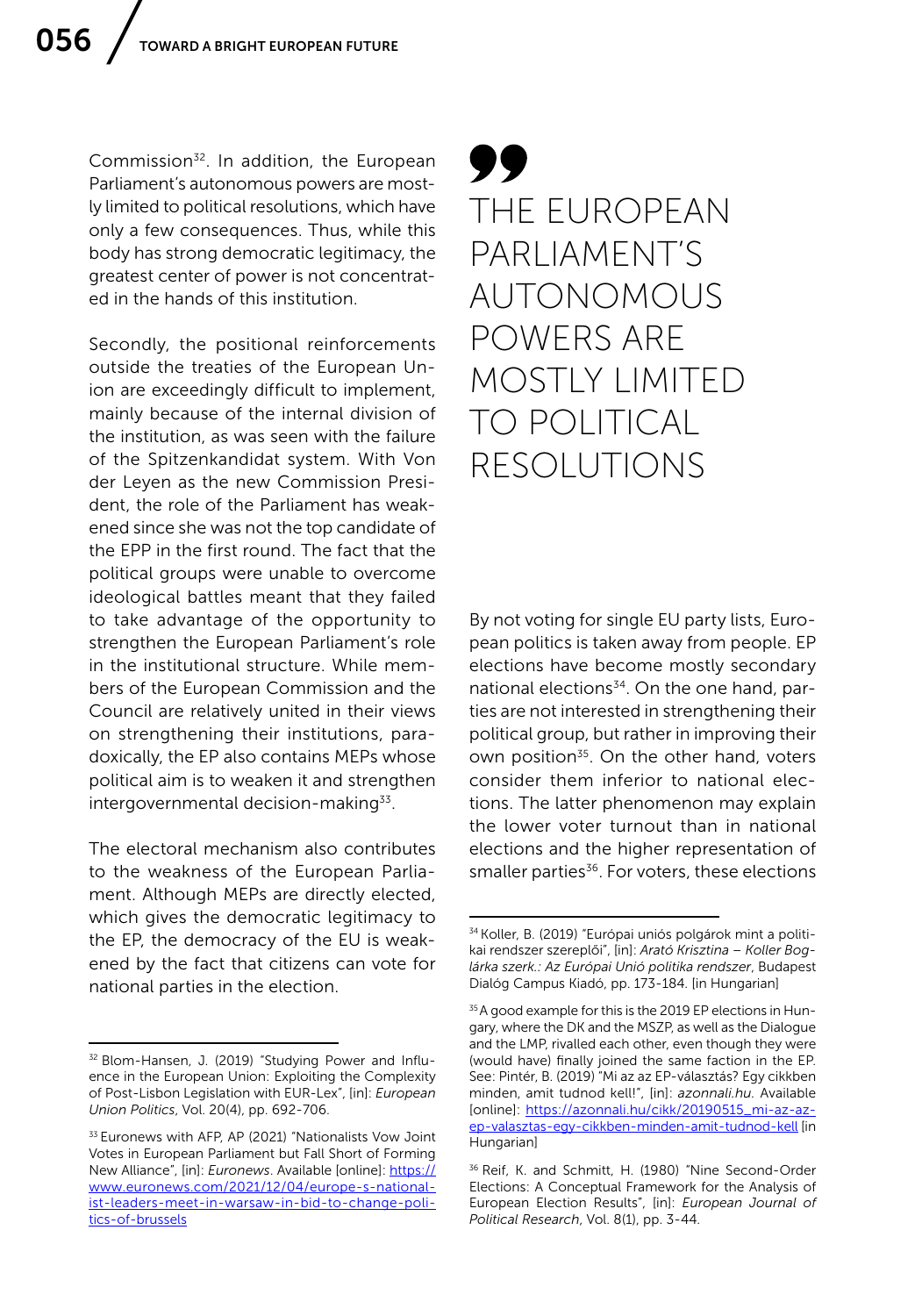Commission32. In addition, the European Parliament's autonomous powers are mostly limited to political resolutions, which have only a few consequences. Thus, while this body has strong democratic legitimacy, the greatest center of power is not concentrated in the hands of this institution.

Secondly, the positional reinforcements outside the treaties of the European Union are exceedingly difficult to implement, mainly because of the internal division of the institution, as was seen with the failure of the Spitzenkandidat system. With Von der Leyen as the new Commission President, the role of the Parliament has weakened since she was not the top candidate of the EPP in the first round. The fact that the political groups were unable to overcome ideological battles meant that they failed to take advantage of the opportunity to strengthen the European Parliament's role in the institutional structure. While members of the European Commission and the Council are relatively united in their views on strengthening their institutions, paradoxically, the EP also contains MEPs whose political aim is to weaken it and strengthen intergovernmental decision-making $33$ .

The electoral mechanism also contributes to the weakness of the European Parliament. Although MEPs are directly elected, which gives the democratic legitimacy to the EP, the democracy of the EU is weakened by the fact that citizens can vote for national parties in the election.

### 99 THE EUROPEAN PARLIAMENT'S AUTONOMOUS POWERS ARE MOSTLY LIMITED TO POLITICAL RESOLUTIONS

By not voting for single EU party lists, European politics is taken away from people. EP elections have become mostly secondary national elections<sup>34</sup>. On the one hand, parties are not interested in strengthening their political group, but rather in improving their own position<sup>35</sup>. On the other hand, voters consider them inferior to national elections. The latter phenomenon may explain the lower voter turnout than in national elections and the higher representation of smaller parties<sup>36</sup>. For voters, these elections

<sup>32</sup> Blom-Hansen, J. (2019) "Studying Power and Influence in the European Union: Exploiting the Complexity of Post-Lisbon Legislation with EUR-Lex", [in]: *European Union Politics*, Vol. 20(4), pp. 692-706.

<sup>&</sup>lt;sup>33</sup> Euronews with AFP, AP (2021) "Nationalists Vow Joint Votes in European Parliament but Fall Short of Forming New Alliance", [in]: *Euronews*. Available [online]: [https://](https://www.euronews.com/2021/12/04/europe-s-nationalist-leaders-meet-in-warsaw-in-bid-to-change-politics-of-brussels) [www.euronews.com/2021/12/04/europe-s-national](https://www.euronews.com/2021/12/04/europe-s-nationalist-leaders-meet-in-warsaw-in-bid-to-change-politics-of-brussels)[ist-leaders-meet-in-warsaw-in-bid-to-change-poli](https://www.euronews.com/2021/12/04/europe-s-nationalist-leaders-meet-in-warsaw-in-bid-to-change-politics-of-brussels)[tics-of-brussels](https://www.euronews.com/2021/12/04/europe-s-nationalist-leaders-meet-in-warsaw-in-bid-to-change-politics-of-brussels)

<sup>34</sup> Koller, B. (2019) "Európai uniós polgárok mint a politikai rendszer szereplői", [in]: *Arató Krisztina – Koller Boglárka szerk.: Az Európai Unió politika rendszer*, Budapest Dialóg Campus Kiadó, pp. 173-184. [in Hungarian]

<sup>35</sup> A good example for this is the 2019 EP elections in Hungary, where the DK and the MSZP, as well as the Dialogue and the LMP, rivalled each other, even though they were (would have) finally joined the same faction in the EP. See: Pintér, B. (2019) "Mi az az EP-választás? Egy cikkben minden, amit tudnod kell!", [in]: *azonnali.hu.* Available [online]: [https://azonnali.hu/cikk/20190515\\_mi-az-az](https://azonnali.hu/cikk/20190515_mi-az-az-ep-valasztas-egy-cikkben-minden-amit-tudnod-kell)[ep-valasztas-egy-cikkben-minden-amit-tudnod-kell](https://azonnali.hu/cikk/20190515_mi-az-az-ep-valasztas-egy-cikkben-minden-amit-tudnod-kell) [in Hungarian]

<sup>36</sup> Reif, K. and Schmitt, H. (1980) "Nine Second-Order Elections: A Conceptual Framework for the Analysis of European Election Results", [in]: *European Journal of Political Research*, Vol. 8(1), pp. 3-44.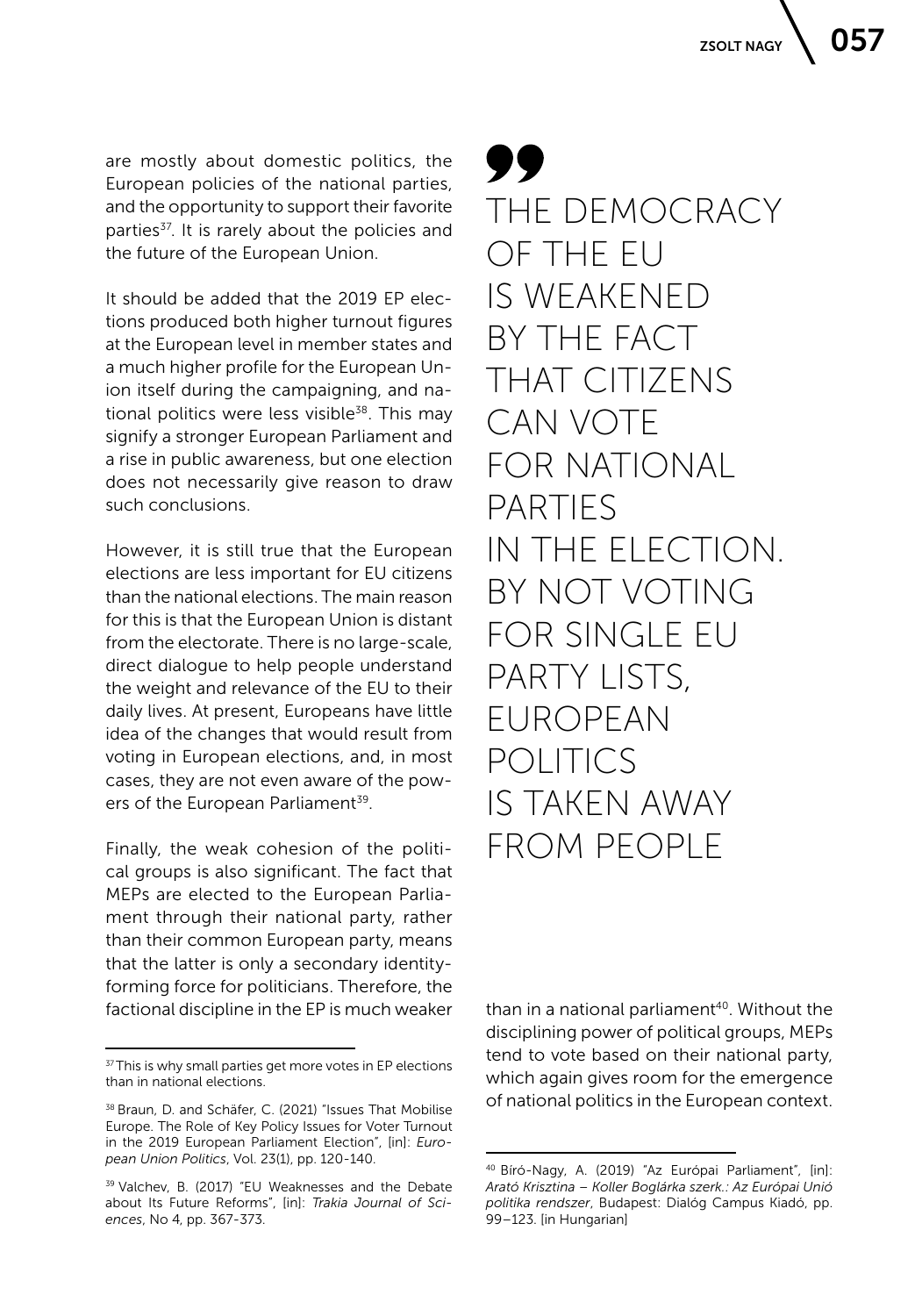are mostly about domestic politics, the European policies of the national parties, and the opportunity to support their favorite parties<sup>37</sup>. It is rarely about the policies and the future of the European Union.

It should be added that the 2019 EP elections produced both higher turnout figures at the European level in member states and a much higher profile for the European Union itself during the campaigning, and national politics were less visible<sup>38</sup>. This may signify a stronger European Parliament and a rise in public awareness, but one election does not necessarily give reason to draw such conclusions.

However, it is still true that the European elections are less important for EU citizens than the national elections. The main reason for this is that the European Union is distant from the electorate. There is no large-scale, direct dialogue to help people understand the weight and relevance of the EU to their daily lives. At present, Europeans have little idea of the changes that would result from voting in European elections, and, in most cases, they are not even aware of the powers of the European Parliament<sup>39</sup>.

Finally, the weak cohesion of the political groups is also significant. The fact that MEPs are elected to the European Parliament through their national party, rather than their common European party, means that the latter is only a secondary identityforming force for politicians. Therefore, the factional discipline in the EP is much weaker

99 THE DEMOCRACY OF THE EU IS WEAKENED BY THE FACT THAT CITIZENS CAN VOTE FOR NATIONAL PARTIES IN THE ELECTION. BY NOT VOTING FOR SINGLE EU PARTY LISTS. EUROPEAN POLITICS IS TAKEN AWAY FROM PEOPLE

than in a national parliament<sup>40</sup>. Without the disciplining power of political groups, MEPs tend to vote based on their national party, which again gives room for the emergence of national politics in the European context.

<sup>&</sup>lt;sup>37</sup> This is why small parties get more votes in EP elections than in national elections.

<sup>38</sup> Braun, D. and Schäfer, C. (2021) "Issues That Mobilise Europe. The Role of Key Policy Issues for Voter Turnout in the 2019 European Parliament Election", [in]: *European Union Politics*, Vol. 23(1), pp. 120-140.

<sup>39</sup> Valchev, B. (2017) "EU Weaknesses and the Debate about Its Future Reforms", [in]: *Trakia Journal of Sciences*, No 4, pp. 367-373.

<sup>40</sup> Bíró-Nagy, A. (2019) "Az Európai Parliament", [in]: *Arató Krisztina – Koller Boglárka szerk.: Az Európai Unió politika rendszer*, Budapest: Dialóg Campus Kiadó, pp. 99–123. [in Hungarian]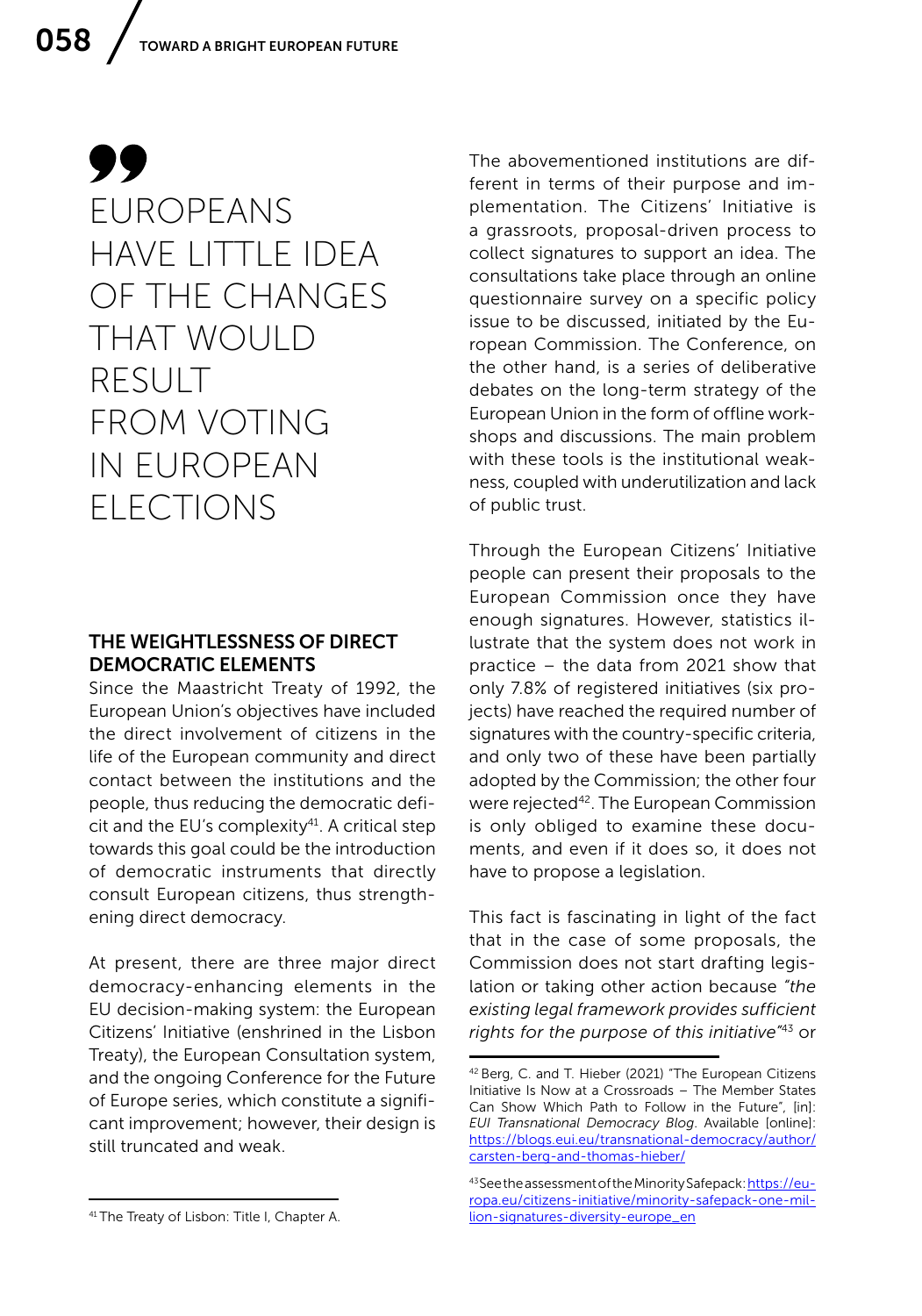### 99 EUROPEANS HAVE LITTLE IDEA OF THE CHANGES THAT WOULD RESULT FROM VOTING IN EUROPEAN ELECTIONS

### THE WEIGHTLESSNESS OF DIRECT DEMOCRATIC ELEMENTS

Since the Maastricht Treaty of 1992, the European Union's objectives have included the direct involvement of citizens in the life of the European community and direct contact between the institutions and the people, thus reducing the democratic deficit and the EU's complexity<sup>41</sup>. A critical step towards this goal could be the introduction of democratic instruments that directly consult European citizens, thus strengthening direct democracy.

At present, there are three major direct democracy-enhancing elements in the EU decision-making system: the European Citizens' Initiative (enshrined in the Lisbon Treaty), the European Consultation system, and the ongoing Conference for the Future of Europe series, which constitute a significant improvement; however, their design is still truncated and weak.

The abovementioned institutions are different in terms of their purpose and implementation. The Citizens' Initiative is a grassroots, proposal-driven process to collect signatures to support an idea. The consultations take place through an online questionnaire survey on a specific policy issue to be discussed, initiated by the European Commission. The Conference, on the other hand, is a series of deliberative debates on the long-term strategy of the European Union in the form of offline workshops and discussions. The main problem with these tools is the institutional weakness, coupled with underutilization and lack of public trust.

Through the European Citizens' Initiative people can present their proposals to the European Commission once they have enough signatures. However, statistics illustrate that the system does not work in practice – the data from 2021 show that only 7.8% of registered initiatives (six projects) have reached the required number of signatures with the country-specific criteria, and only two of these have been partially adopted by the Commission; the other four were rejected<sup>42</sup>. The European Commission is only obliged to examine these documents, and even if it does so, it does not have to propose a legislation.

This fact is fascinating in light of the fact that in the case of some proposals, the Commission does not start drafting legislation or taking other action because *"the existing legal framework provides sufficient rights for the purpose of this initiative"*43 or

<sup>42</sup> Berg, C. and T. Hieber (2021) "The European Citizens Initiative Is Now at a Crossroads – The Member States Can Show Which Path to Follow in the Future", [in]: *EUI Transnational Democracy Blog*. Available [online]: [https://blogs.eui.eu/transnational-democracy/author/](https://blogs.eui.eu/transnational-democracy/author/carsten-berg-and-thomas-hieber/) [carsten-berg-and-thomas-hieber/](https://blogs.eui.eu/transnational-democracy/author/carsten-berg-and-thomas-hieber/)

<sup>43</sup> See the assessment of the Minority Safepack: [https://eu](https://europa.eu/citizens-initiative/minority-safepack-one-mil- lion-signatures-diversity-europe_en)[ropa.eu/citizens-initiative/minority-safepack-one-mil](https://europa.eu/citizens-initiative/minority-safepack-one-mil- lion-signatures-diversity-europe_en)[lion-signatures-diversity-europe\\_en](https://europa.eu/citizens-initiative/minority-safepack-one-mil- lion-signatures-diversity-europe_en)

<sup>41</sup> The Treaty of Lisbon: Title I, Chapter A.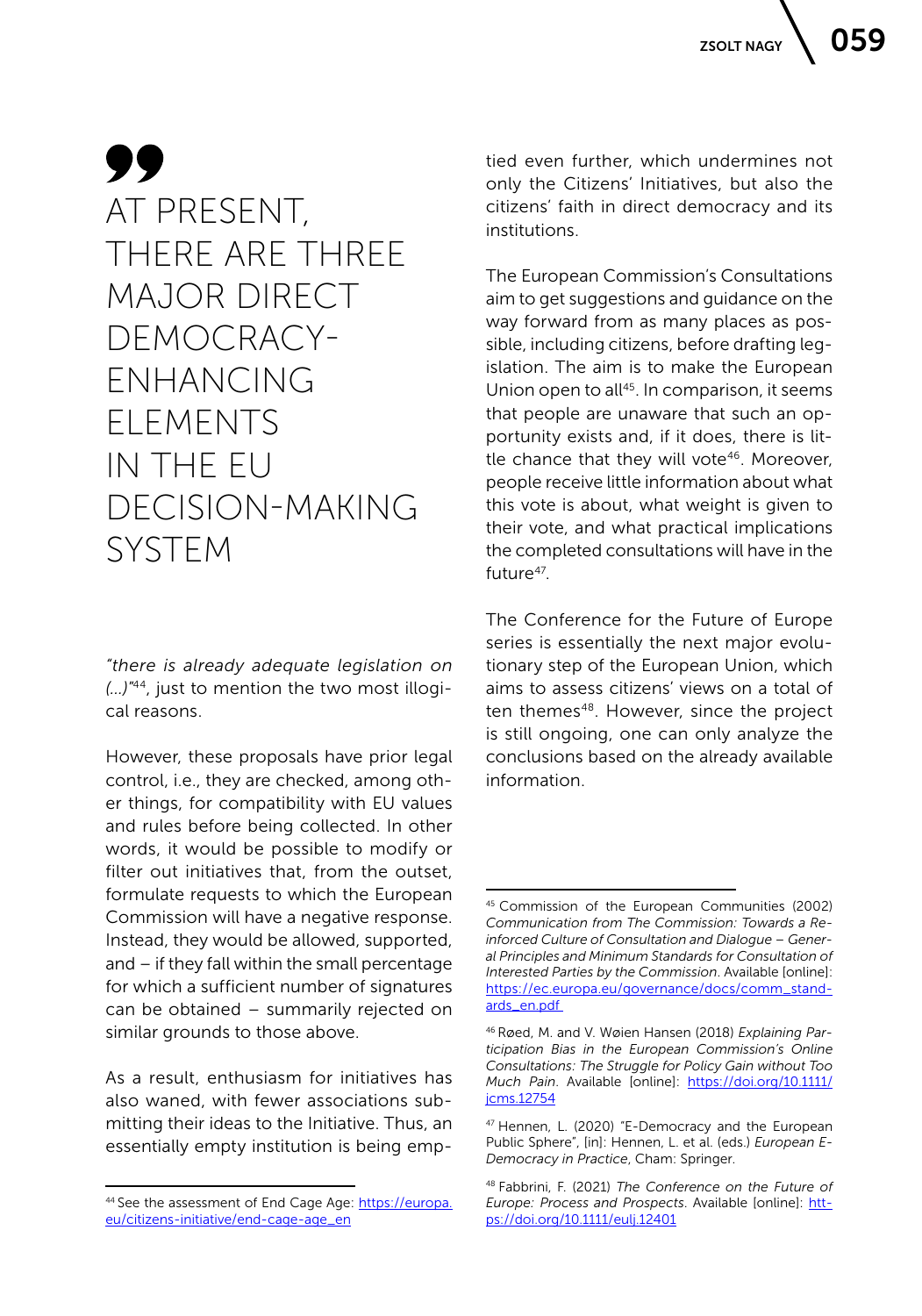### 99 AT PRESENT, THERE ARE THREE MAJOR DIRECT DEMOCRACY-ENHANCING ELEMENTS IN THE EU DECISION-MAKING SYSTEM

*"there is already adequate legislation on (…)*" 44, just to mention the two most illogical reasons.

However, these proposals have prior legal control, i.e., they are checked, among other things, for compatibility with EU values and rules before being collected. In other words, it would be possible to modify or filter out initiatives that, from the outset, formulate requests to which the European Commission will have a negative response. Instead, they would be allowed, supported, and – if they fall within the small percentage for which a sufficient number of signatures can be obtained – summarily rejected on similar grounds to those above.

As a result, enthusiasm for initiatives has also waned, with fewer associations submitting their ideas to the Initiative. Thus, an essentially empty institution is being emptied even further, which undermines not only the Citizens' Initiatives, but also the citizens' faith in direct democracy and its institutions.

The European Commission's Consultations aim to get suggestions and guidance on the way forward from as many places as possible, including citizens, before drafting legislation. The aim is to make the European Union open to all<sup>45</sup>. In comparison, it seems that people are unaware that such an opportunity exists and, if it does, there is little chance that they will vote<sup>46</sup>. Moreover, people receive little information about what this vote is about, what weight is given to their vote, and what practical implications the completed consultations will have in the future<sup>47</sup>

The Conference for the Future of Europe series is essentially the next major evolutionary step of the European Union, which aims to assess citizens' views on a total of ten themes<sup>48</sup>. However, since the project is still ongoing, one can only analyze the conclusions based on the already available information.

<sup>44</sup> See the assessment of End Cage Age: [https://europa.](https://europa.eu/citizens-initiative/end-cage-age_en) [eu/citizens-initiative/end-cage-age\\_en](https://europa.eu/citizens-initiative/end-cage-age_en)

<sup>45</sup> Commission of the European Communities (2002) *Communication from The Commission: Towards a Reinforced Culture of Consultation and Dialogue – General Principles and Minimum Standards for Consultation of Interested Parties by the Commission*. Available [online]: [https://ec.europa.eu/governance/docs/comm\\_stand](https://ec.europa.eu/governance/docs/comm_standards_en.pdf )[ards\\_en.pdf](https://ec.europa.eu/governance/docs/comm_standards_en.pdf ) 

<sup>46</sup> Røed, M. and V. Wøien Hansen (2018) *Explaining Participation Bias in the European Commission's Online Consultations: The Struggle for Policy Gain without Too Much Pain*. Available [online]: [https://doi.org/10.1111/](https://doi.org/10.1111/jcms.12754) [jcms.12754](https://doi.org/10.1111/jcms.12754)

<sup>47</sup> Hennen, L. (2020) "E-Democracy and the European Public Sphere", [in]: Hennen, L. et al. (eds.) *European E-Democracy in Practice*, Cham: Springer.

<sup>48</sup> Fabbrini, F. (2021) *The Conference on the Future of Europe: Process and Prospects*. Available [online]: [htt](https://doi.org/10.1111/eulj.12401)[ps://doi.org/10.1111/eulj.12401](https://doi.org/10.1111/eulj.12401)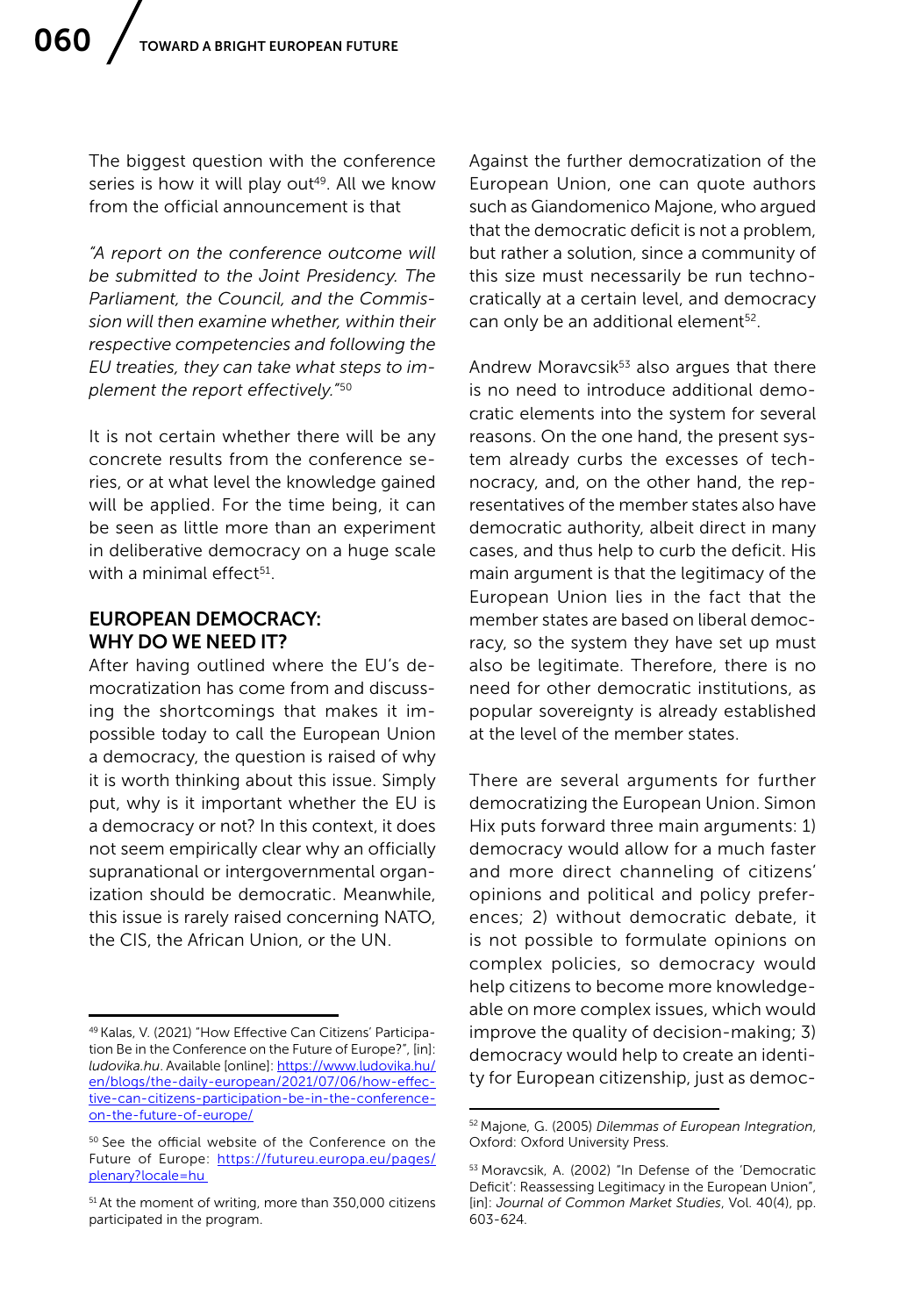The biggest question with the conference series is how it will play out<sup>49</sup>. All we know from the official announcement is that

*"A report on the conference outcome will be submitted to the Joint Presidency. The Parliament, the Council, and the Commission will then examine whether, within their respective competencies and following the EU treaties, they can take what steps to implement the report effectively."*<sup>50</sup>

It is not certain whether there will be any concrete results from the conference series, or at what level the knowledge gained will be applied. For the time being, it can be seen as little more than an experiment in deliberative democracy on a huge scale with a minimal effect $51$ .

#### EUROPEAN DEMOCRACY: WHY DO WE NEED IT?

After having outlined where the EU's democratization has come from and discussing the shortcomings that makes it impossible today to call the European Union a democracy, the question is raised of why it is worth thinking about this issue. Simply put, why is it important whether the EU is a democracy or not? In this context, it does not seem empirically clear why an officially supranational or intergovernmental organization should be democratic. Meanwhile, this issue is rarely raised concerning NATO, the CIS, the African Union, or the UN.

Against the further democratization of the European Union, one can quote authors such as Giandomenico Majone, who argued that the democratic deficit is not a problem, but rather a solution, since a community of this size must necessarily be run technocratically at a certain level, and democracy can only be an additional element<sup>52</sup>.

Andrew Moravcsik<sup>53</sup> also argues that there is no need to introduce additional democratic elements into the system for several reasons. On the one hand, the present system already curbs the excesses of technocracy, and, on the other hand, the representatives of the member states also have democratic authority, albeit direct in many cases, and thus help to curb the deficit. His main argument is that the legitimacy of the European Union lies in the fact that the member states are based on liberal democracy, so the system they have set up must also be legitimate. Therefore, there is no need for other democratic institutions, as popular sovereignty is already established at the level of the member states.

There are several arguments for further democratizing the European Union. Simon Hix puts forward three main arguments: 1) democracy would allow for a much faster and more direct channeling of citizens' opinions and political and policy preferences; 2) without democratic debate, it is not possible to formulate opinions on complex policies, so democracy would help citizens to become more knowledgeable on more complex issues, which would improve the quality of decision-making; 3) democracy would help to create an identity for European citizenship, just as democ-

<sup>49</sup> Kalas, V. (2021) "How Effective Can Citizens' Participation Be in the Conference on the Future of Europe?", [in]: *ludovika.hu*. Available [online]: [https://www.ludovika.hu/](https://www.ludovika.hu/en/blogs/the-daily-european/2021/07/06/how-effective-can-citizens-participation-be-in-the-conference-on-the-future-of-europe/) [en/blogs/the-daily-european/2021/07/06/how-effec](https://www.ludovika.hu/en/blogs/the-daily-european/2021/07/06/how-effective-can-citizens-participation-be-in-the-conference-on-the-future-of-europe/)[tive-can-citizens-participation-be-in-the-conference](https://www.ludovika.hu/en/blogs/the-daily-european/2021/07/06/how-effective-can-citizens-participation-be-in-the-conference-on-the-future-of-europe/)[on-the-future-of-europe/](https://www.ludovika.hu/en/blogs/the-daily-european/2021/07/06/how-effective-can-citizens-participation-be-in-the-conference-on-the-future-of-europe/)

<sup>50</sup> See the official website of the Conference on the Future of Europe: [https://futureu.europa.eu/pages/](https://futureu.europa.eu/pages/plenary?locale=hu ) [plenary?locale=hu](https://futureu.europa.eu/pages/plenary?locale=hu ) 

<sup>51</sup> At the moment of writing, more than 350,000 citizens participated in the program.

<sup>52</sup> Majone, G. (2005) *Dilemmas of European Integration*, Oxford: Oxford University Press.

<sup>53</sup> Moravcsik, A. (2002) "In Defense of the 'Democratic Deficit': Reassessing Legitimacy in the European Union", [in]: *Journal of Common Market Studies*, Vol. 40(4), pp. 603-624.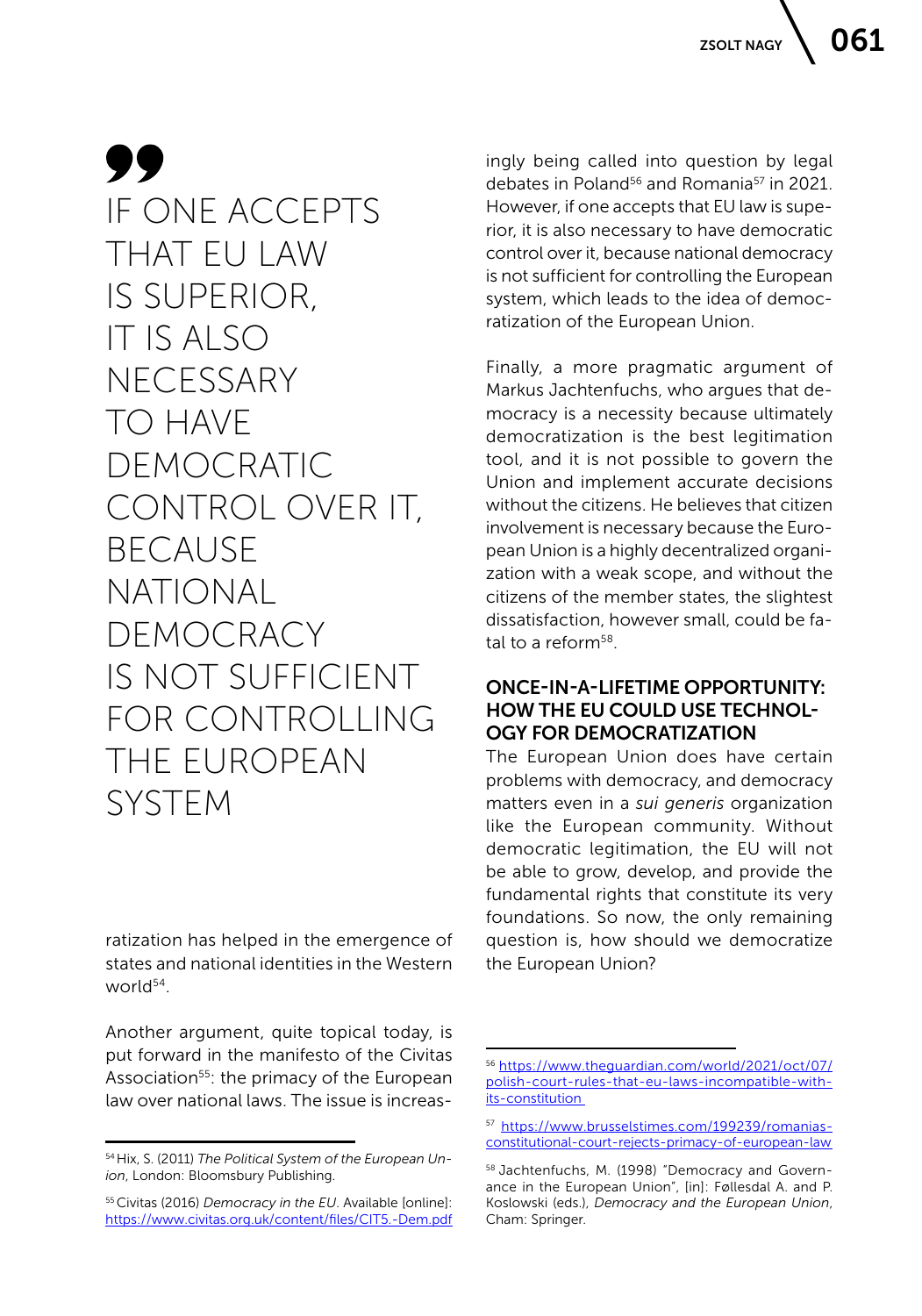### 99 IF ONE ACCEPTS THAT EU LAW IS SUPERIOR, IT IS ALSO **NECESSARY** TO HAVE DEMOCRATIC CONTROL OVER IT, **BECAUSE** NATIONAL DEMOCRACY IS NOT SUFFICIENT FOR CONTROLLING THE EUROPEAN SYSTEM

ratization has helped in the emergence of states and national identities in the Western world<sup>54</sup>.

Another argument, quite topical today, is put forward in the manifesto of the Civitas Association<sup>55</sup>: the primacy of the European law over national laws. The issue is increasingly being called into question by legal debates in Poland<sup>56</sup> and Romania<sup>57</sup> in 2021. However, if one accepts that EU law is superior, it is also necessary to have democratic control over it, because national democracy is not sufficient for controlling the European system, which leads to the idea of democratization of the European Union.

Finally, a more pragmatic argument of Markus Jachtenfuchs, who argues that democracy is a necessity because ultimately democratization is the best legitimation tool, and it is not possible to govern the Union and implement accurate decisions without the citizens. He believes that citizen involvement is necessary because the European Union is a highly decentralized organization with a weak scope, and without the citizens of the member states, the slightest dissatisfaction, however small, could be fatal to a reform<sup>58</sup>.

### ONCE-IN-A-LIFETIME OPPORTUNITY: HOW THE EU COULD USE TECHNOL-OGY FOR DEMOCRATIZATION

The European Union does have certain problems with democracy, and democracy matters even in a *sui generis* organization like the European community. Without democratic legitimation, the EU will not be able to grow, develop, and provide the fundamental rights that constitute its very foundations. So now, the only remaining question is, how should we democratize the European Union?

<sup>54</sup> Hix, S. (2011) *The Political System of the European Union*, London: Bloomsbury Publishing.

<sup>55</sup> Civitas (2016) *Democracy in the EU*. Available [online]: <https://www.civitas.org.uk/content/files/CIT5.-Dem.pdf>

<sup>56</sup> [https://www.theguardian.com/world/2021/oct/07/](https://www.theguardian.com/world/2021/oct/07/polish-court-rules-that-eu-laws-incompatible-with-its-constitution ) [polish-court-rules-that-eu-laws-incompatible-with](https://www.theguardian.com/world/2021/oct/07/polish-court-rules-that-eu-laws-incompatible-with-its-constitution )[its-constitution](https://www.theguardian.com/world/2021/oct/07/polish-court-rules-that-eu-laws-incompatible-with-its-constitution ) 

<sup>57</sup> [https://www.brusselstimes.com/199239/romanias](https://www.brusselstimes.com/199239/romanias-constitutional-court-rejects-primacy-of-european-law )[constitutional-court-rejects-primacy-of-european-law](https://www.brusselstimes.com/199239/romanias-constitutional-court-rejects-primacy-of-european-law ) 

<sup>58</sup> Jachtenfuchs, M. (1998) "Democracy and Governance in the European Union", [in]: Føllesdal A. and P. Koslowski (eds.), *Democracy and the European Union*, Cham: Springer.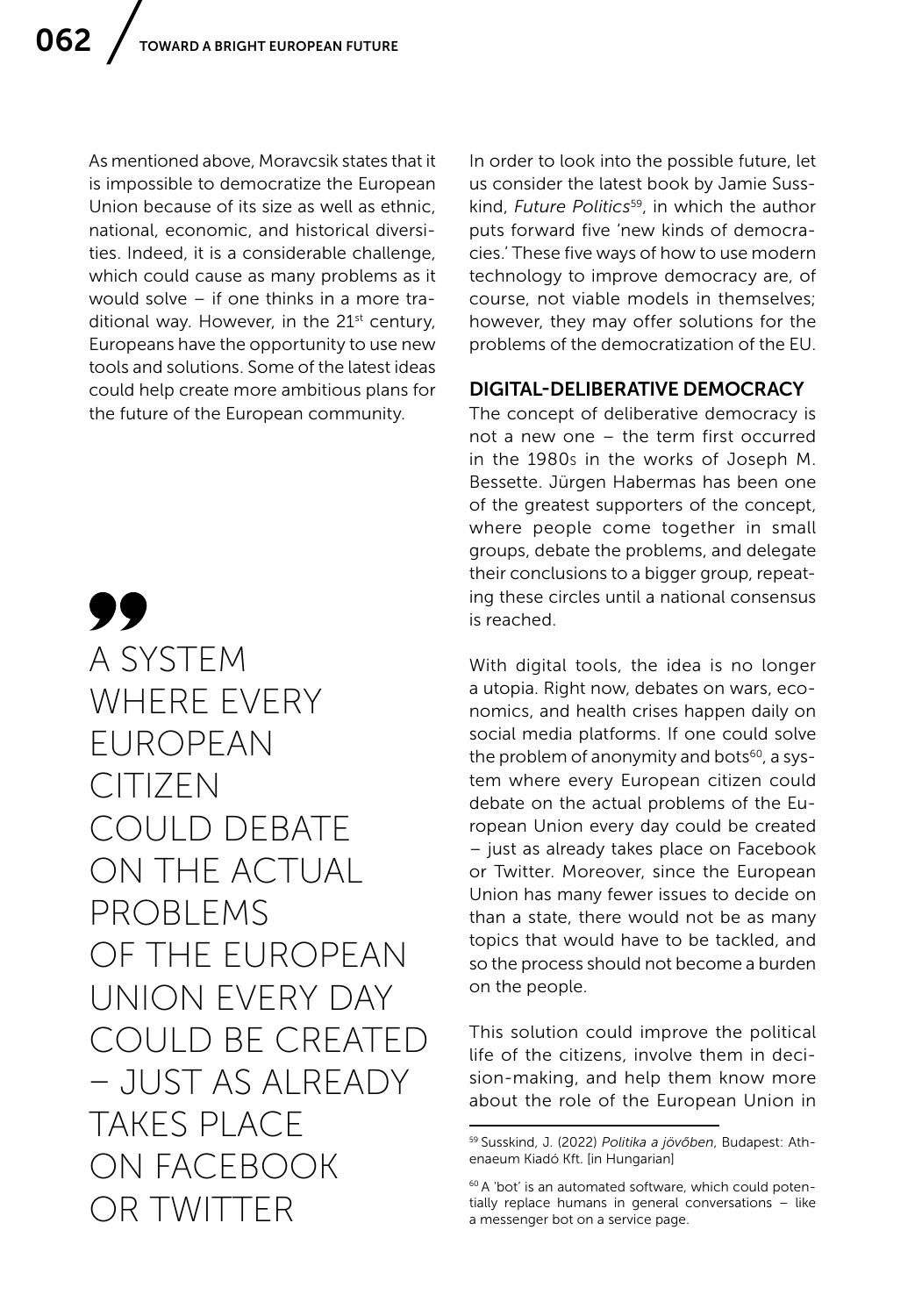As mentioned above, Moravcsik states that it is impossible to democratize the European Union because of its size as well as ethnic, national, economic, and historical diversities. Indeed, it is a considerable challenge, which could cause as many problems as it would solve – if one thinks in a more traditional way. However, in the  $21^{st}$  century, Europeans have the opportunity to use new tools and solutions. Some of the latest ideas could help create more ambitious plans for the future of the European community.

99 A SYSTEM WHERE EVERY EUROPEAN CITIZEN COULD DEBATE ON THE ACTUAL PROBLEMS OF THE EUROPEAN UNION EVERY DAY COULD BE CREATED – JUST AS ALREADY TAKES PLACE ON FACEBOOK OR TWITTER

In order to look into the possible future, let us consider the latest book by Jamie Susskind, *Future Politics*59, in which the author puts forward five 'new kinds of democracies.' These five ways of how to use modern technology to improve democracy are, of course, not viable models in themselves; however, they may offer solutions for the problems of the democratization of the EU.

#### DIGITAL-DELIBERATIVE DEMOCRACY

The concept of deliberative democracy is not a new one – the term first occurred in the 1980s in the works of Joseph M. Bessette. Jürgen Habermas has been one of the greatest supporters of the concept, where people come together in small groups, debate the problems, and delegate their conclusions to a bigger group, repeating these circles until a national consensus is reached.

With digital tools, the idea is no longer a utopia. Right now, debates on wars, economics, and health crises happen daily on social media platforms. If one could solve the problem of anonymity and bots<sup>60</sup>, a system where every European citizen could debate on the actual problems of the European Union every day could be created – just as already takes place on Facebook or Twitter. Moreover, since the European Union has many fewer issues to decide on than a state, there would not be as many topics that would have to be tackled, and so the process should not become a burden on the people.

This solution could improve the political life of the citizens, involve them in decision-making, and help them know more about the role of the European Union in

<sup>59</sup> Susskind, J. (2022) *Politika a jövőben*, Budapest: Athenaeum Kiadó Kft. [in Hungarian]

<sup>60</sup> A 'bot' is an automated software, which could potentially replace humans in general conversations – like a messenger bot on a service page.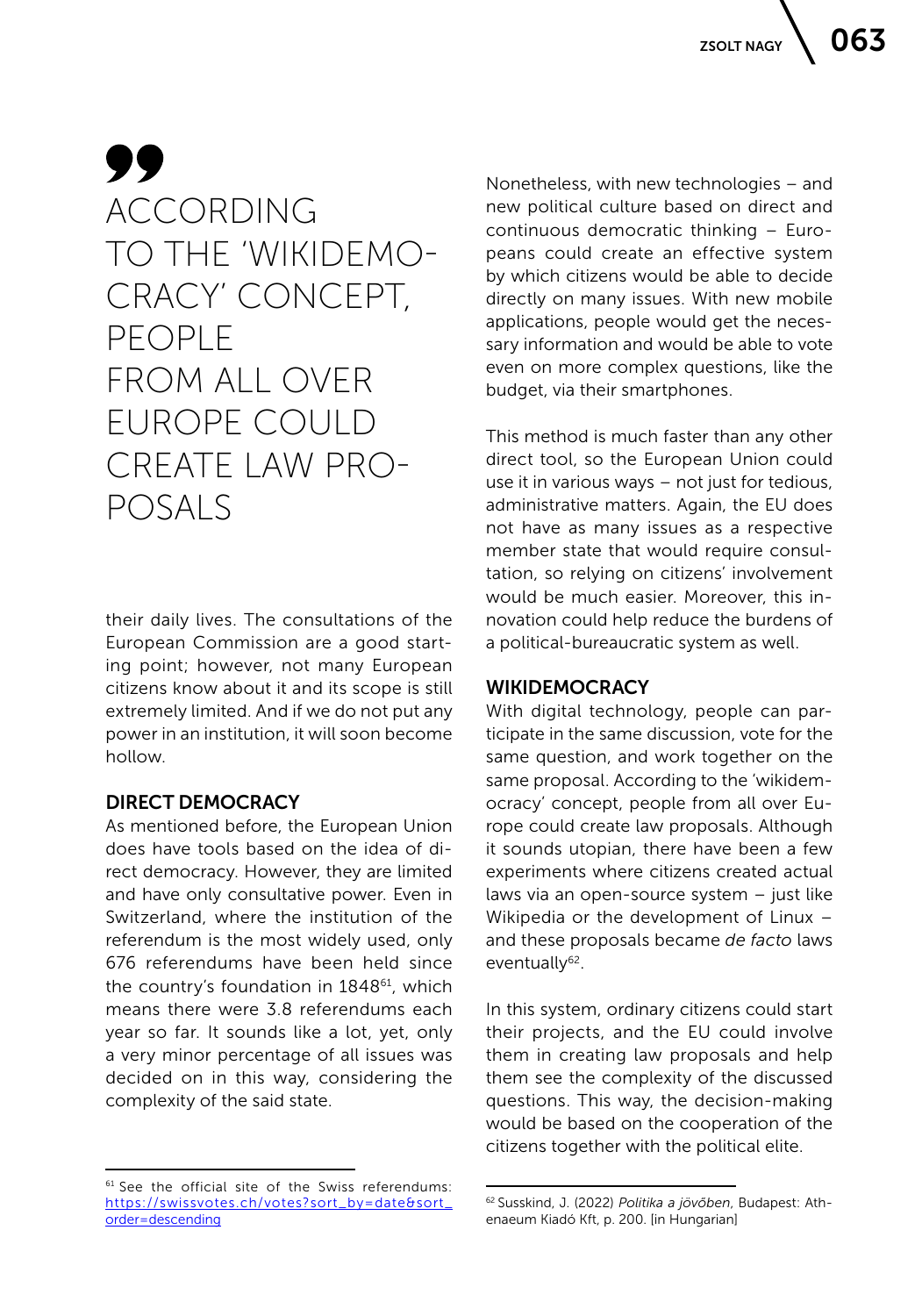### 99 ACCORDING TO THE 'WIKIDEMO-CRACY' CONCEPT, PEOPLE FROM ALL OVER EUROPE COULD CREATE LAW PRO-POSALS

their daily lives. The consultations of the European Commission are a good starting point; however, not many European citizens know about it and its scope is still extremely limited. And if we do not put any power in an institution, it will soon become hollow.

#### DIRECT DEMOCRACY

As mentioned before, the European Union does have tools based on the idea of direct democracy. However, they are limited and have only consultative power. Even in Switzerland, where the institution of the referendum is the most widely used, only 676 referendums have been held since the country's foundation in 1848<sup>61</sup>, which means there were 3.8 referendums each year so far. It sounds like a lot, yet, only a very minor percentage of all issues was decided on in this way, considering the complexity of the said state.

Nonetheless, with new technologies – and new political culture based on direct and continuous democratic thinking – Europeans could create an effective system by which citizens would be able to decide directly on many issues. With new mobile applications, people would get the necessary information and would be able to vote even on more complex questions, like the budget, via their smartphones.

This method is much faster than any other direct tool, so the European Union could use it in various ways – not just for tedious, administrative matters. Again, the EU does not have as many issues as a respective member state that would require consultation, so relying on citizens' involvement would be much easier. Moreover, this innovation could help reduce the burdens of a political-bureaucratic system as well.

#### **WIKIDEMOCRACY**

With digital technology, people can participate in the same discussion, vote for the same question, and work together on the same proposal. According to the 'wikidemocracy' concept, people from all over Europe could create law proposals. Although it sounds utopian, there have been a few experiments where citizens created actual laws via an open-source system – just like Wikipedia or the development of Linux – and these proposals became *de facto* laws eventually<sup>62</sup>.

In this system, ordinary citizens could start their projects, and the EU could involve them in creating law proposals and help them see the complexity of the discussed questions. This way, the decision-making would be based on the cooperation of the citizens together with the political elite.

 $61$  See the official site of the Swiss referendums: [https://swissvotes.ch/votes?sort\\_by=date&sort\\_](https://swissvotes.ch/votes?sort_by=date&sort_order=descending) [order=descending](https://swissvotes.ch/votes?sort_by=date&sort_order=descending)

<sup>62</sup> Susskind, J. (2022) *Politika a jövőben*, Budapest: Athenaeum Kiadó Kft, p. 200. [in Hungarian]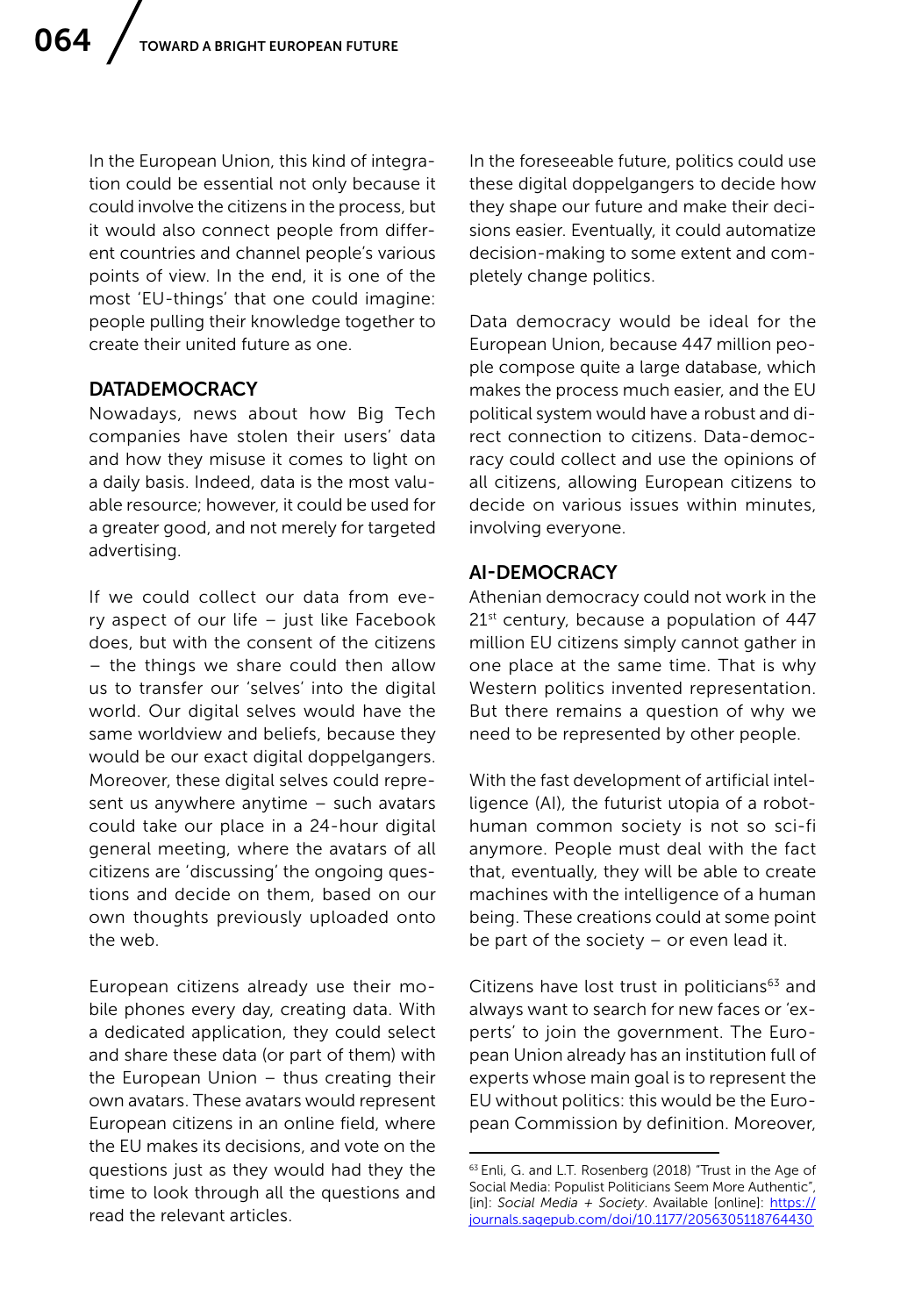In the European Union, this kind of integration could be essential not only because it could involve the citizens in the process, but it would also connect people from different countries and channel people's various points of view. In the end, it is one of the most 'EU-things' that one could imagine: people pulling their knowledge together to create their united future as one.

#### **DATADEMOCRACY**

Nowadays, news about how Big Tech companies have stolen their users' data and how they misuse it comes to light on a daily basis. Indeed, data is the most valuable resource; however, it could be used for a greater good, and not merely for targeted advertising.

If we could collect our data from every aspect of our life – just like Facebook does, but with the consent of the citizens – the things we share could then allow us to transfer our 'selves' into the digital world. Our digital selves would have the same worldview and beliefs, because they would be our exact digital doppelgangers. Moreover, these digital selves could represent us anywhere anytime – such avatars could take our place in a 24-hour digital general meeting, where the avatars of all citizens are 'discussing' the ongoing questions and decide on them, based on our own thoughts previously uploaded onto the web.

European citizens already use their mobile phones every day, creating data. With a dedicated application, they could select and share these data (or part of them) with the European Union – thus creating their own avatars. These avatars would represent European citizens in an online field, where the EU makes its decisions, and vote on the questions just as they would had they the time to look through all the questions and read the relevant articles.

In the foreseeable future, politics could use these digital doppelgangers to decide how they shape our future and make their decisions easier. Eventually, it could automatize decision-making to some extent and completely change politics.

Data democracy would be ideal for the European Union, because 447 million people compose quite a large database, which makes the process much easier, and the EU political system would have a robust and direct connection to citizens. Data-democracy could collect and use the opinions of all citizens, allowing European citizens to decide on various issues within minutes, involving everyone.

#### AI-DEMOCRACY

Athenian democracy could not work in the 21<sup>st</sup> century, because a population of 447 million EU citizens simply cannot gather in one place at the same time. That is why Western politics invented representation. But there remains a question of why we need to be represented by other people.

With the fast development of artificial intelligence (AI), the futurist utopia of a robothuman common society is not so sci-fi anymore. People must deal with the fact that, eventually, they will be able to create machines with the intelligence of a human being. These creations could at some point be part of the society  $-$  or even lead it.

Citizens have lost trust in politicians<sup>63</sup> and always want to search for new faces or 'experts' to join the government. The European Union already has an institution full of experts whose main goal is to represent the EU without politics: this would be the European Commission by definition. Moreover,

<sup>63</sup> Enli, G. and L.T. Rosenberg (2018) "Trust in the Age of Social Media: Populist Politicians Seem More Authentic", [in]: *Social Media + Society*. Available [online]: [https://](https://journals.sagepub.com/doi/10.1177/2056305118764430 ) [journals.sagepub.com/doi/10.1177/2056305118764430](https://journals.sagepub.com/doi/10.1177/2056305118764430 )